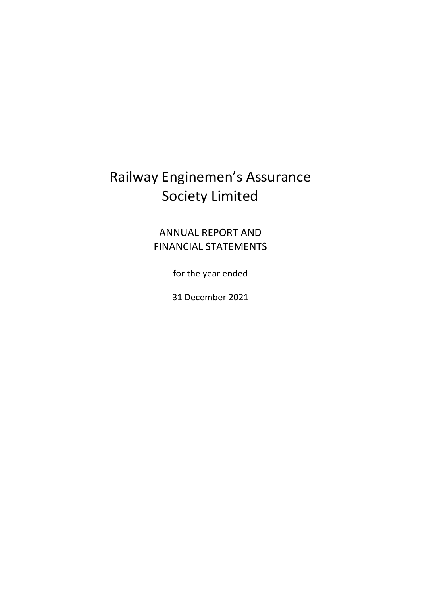### ANNUAL REPORT AND FINANCIAL STATEMENTS

for the year ended

31 December 2021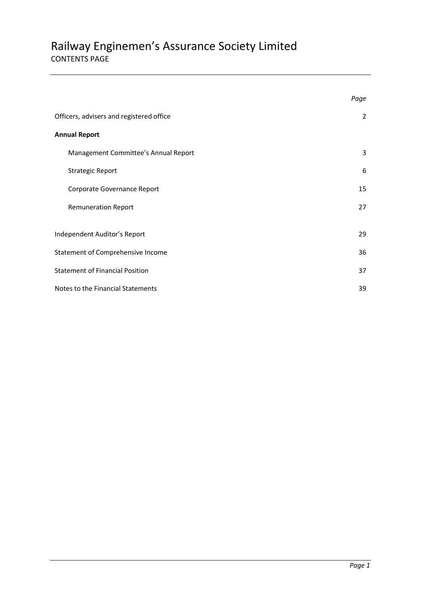### Railway Enginemen's Assurance Society Limited CONTENTS PAGE

|                                          | Page |
|------------------------------------------|------|
| Officers, advisers and registered office | 2    |
| <b>Annual Report</b>                     |      |
| Management Committee's Annual Report     | 3    |
| <b>Strategic Report</b>                  | 6    |
| Corporate Governance Report              | 15   |
| <b>Remuneration Report</b>               | 27   |
| Independent Auditor's Report             | 29   |
| Statement of Comprehensive Income        | 36   |
| <b>Statement of Financial Position</b>   | 37   |
| Notes to the Financial Statements        | 39   |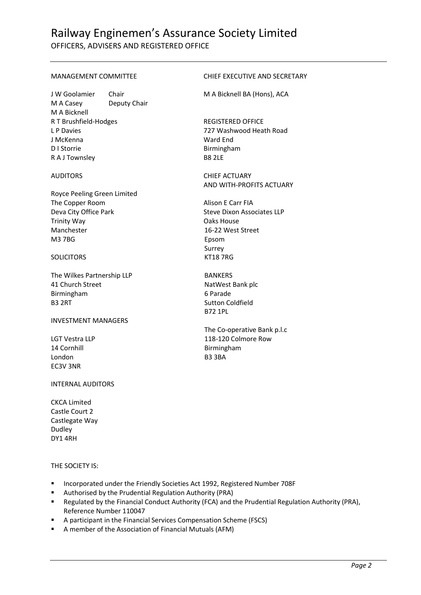OFFICERS, ADVISERS AND REGISTERED OFFICE

J W Goolamier Chair M A Bicknell BA (Hons), ACA M A Casey Deputy Chair M A Bicknell R T Brushfield-Hodges REGISTERED OFFICE L P Davies 727 Washwood Heath Road J McKenna Ward End D I Storrie Birmingham R A J Townsley B8 2LE

Royce Peeling Green Limited The Copper Room Alison E Carr FIA Deva City Office Park Steve Dixon Associates LLP Trinity Way **Cancer Community Way** Oaks House Manchester 16-22 West Street M3 7BG Epsom

#### SOLICITORS KT18 7RG

The Wilkes Partnership LLP BANKERS 41 Church Street NatWest Bank plc Birmingham 6 Parade B3 2RT Sutton Coldfield

#### INVESTMENT MANAGERS

14 Cornhill **Birmingham** London B3 3BA EC3V 3NR

#### INTERNAL AUDITORS

CKCA Limited Castle Court 2 Castlegate Way Dudley DY1 4RH

#### THE SOCIETY IS:

- Incorporated under the Friendly Societies Act 1992, Registered Number 708F
- Authorised by the Prudential Regulation Authority (PRA)
- Regulated by the Financial Conduct Authority (FCA) and the Prudential Regulation Authority (PRA), Reference Number 110047
- A participant in the Financial Services Compensation Scheme (FSCS)
- A member of the Association of Financial Mutuals (AFM)

#### MANAGEMENT COMMITTEE CHIEF EXECUTIVE AND SECRETARY

AUDITORS CHIEF ACTUARY AND WITH-PROFITS ACTUARY

Surrey

B72 1PL

The Co-operative Bank p.l.c LGT Vestra LLP 118-120 Colmore Row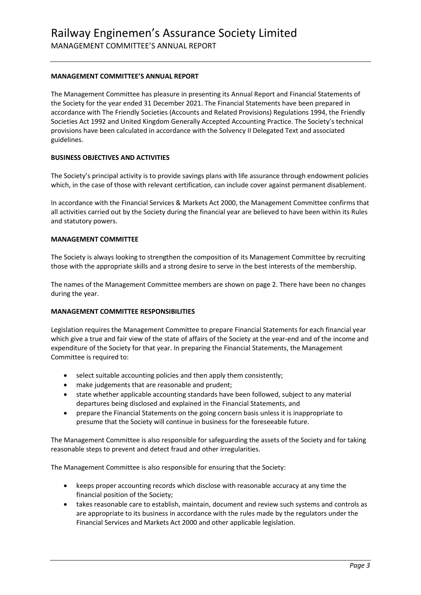#### **MANAGEMENT COMMITTEE'S ANNUAL REPORT**

The Management Committee has pleasure in presenting its Annual Report and Financial Statements of the Society for the year ended 31 December 2021. The Financial Statements have been prepared in accordance with The Friendly Societies (Accounts and Related Provisions) Regulations 1994, the Friendly Societies Act 1992 and United Kingdom Generally Accepted Accounting Practice. The Society's technical provisions have been calculated in accordance with the Solvency II Delegated Text and associated guidelines.

#### **BUSINESS OBJECTIVES AND ACTIVITIES**

The Society's principal activity is to provide savings plans with life assurance through endowment policies which, in the case of those with relevant certification, can include cover against permanent disablement.

In accordance with the Financial Services & Markets Act 2000, the Management Committee confirms that all activities carried out by the Society during the financial year are believed to have been within its Rules and statutory powers.

#### **MANAGEMENT COMMITTEE**

The Society is always looking to strengthen the composition of its Management Committee by recruiting those with the appropriate skills and a strong desire to serve in the best interests of the membership.

The names of the Management Committee members are shown on page 2. There have been no changes during the year.

#### **MANAGEMENT COMMITTEE RESPONSIBILITIES**

Legislation requires the Management Committee to prepare Financial Statements for each financial year which give a true and fair view of the state of affairs of the Society at the year-end and of the income and expenditure of the Society for that year. In preparing the Financial Statements, the Management Committee is required to:

- select suitable accounting policies and then apply them consistently;
- make judgements that are reasonable and prudent;
- state whether applicable accounting standards have been followed, subject to any material departures being disclosed and explained in the Financial Statements, and
- prepare the Financial Statements on the going concern basis unless it is inappropriate to presume that the Society will continue in business for the foreseeable future.

The Management Committee is also responsible for safeguarding the assets of the Society and for taking reasonable steps to prevent and detect fraud and other irregularities.

The Management Committee is also responsible for ensuring that the Society:

- keeps proper accounting records which disclose with reasonable accuracy at any time the financial position of the Society;
- takes reasonable care to establish, maintain, document and review such systems and controls as are appropriate to its business in accordance with the rules made by the regulators under the Financial Services and Markets Act 2000 and other applicable legislation.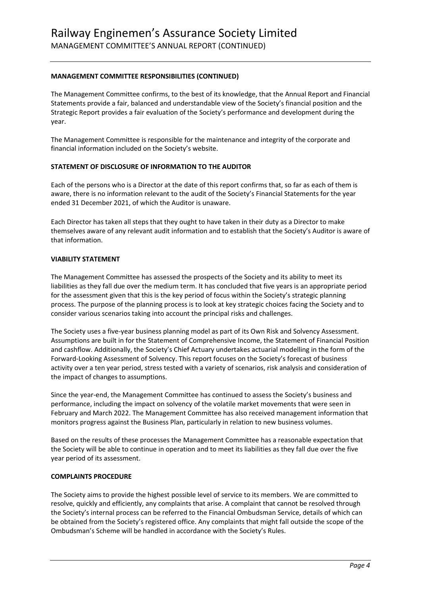#### **MANAGEMENT COMMITTEE RESPONSIBILITIES (CONTINUED)**

The Management Committee confirms, to the best of its knowledge, that the Annual Report and Financial Statements provide a fair, balanced and understandable view of the Society's financial position and the Strategic Report provides a fair evaluation of the Society's performance and development during the year.

The Management Committee is responsible for the maintenance and integrity of the corporate and financial information included on the Society's website.

#### **STATEMENT OF DISCLOSURE OF INFORMATION TO THE AUDITOR**

Each of the persons who is a Director at the date of this report confirms that, so far as each of them is aware, there is no information relevant to the audit of the Society's Financial Statements for the year ended 31 December 2021, of which the Auditor is unaware.

Each Director has taken all steps that they ought to have taken in their duty as a Director to make themselves aware of any relevant audit information and to establish that the Society's Auditor is aware of that information.

#### **VIABILITY STATEMENT**

The Management Committee has assessed the prospects of the Society and its ability to meet its liabilities as they fall due over the medium term. It has concluded that five years is an appropriate period for the assessment given that this is the key period of focus within the Society's strategic planning process. The purpose of the planning process is to look at key strategic choices facing the Society and to consider various scenarios taking into account the principal risks and challenges.

The Society uses a five-year business planning model as part of its Own Risk and Solvency Assessment. Assumptions are built in for the Statement of Comprehensive Income, the Statement of Financial Position and cashflow. Additionally, the Society's Chief Actuary undertakes actuarial modelling in the form of the Forward-Looking Assessment of Solvency. This report focuses on the Society's forecast of business activity over a ten year period, stress tested with a variety of scenarios, risk analysis and consideration of the impact of changes to assumptions.

Since the year-end, the Management Committee has continued to assess the Society's business and performance, including the impact on solvency of the volatile market movements that were seen in February and March 2022. The Management Committee has also received management information that monitors progress against the Business Plan, particularly in relation to new business volumes.

Based on the results of these processes the Management Committee has a reasonable expectation that the Society will be able to continue in operation and to meet its liabilities as they fall due over the five year period of its assessment.

#### **COMPLAINTS PROCEDURE**

The Society aims to provide the highest possible level of service to its members. We are committed to resolve, quickly and efficiently, any complaints that arise. A complaint that cannot be resolved through the Society's internal process can be referred to the Financial Ombudsman Service, details of which can be obtained from the Society's registered office. Any complaints that might fall outside the scope of the Ombudsman's Scheme will be handled in accordance with the Society's Rules.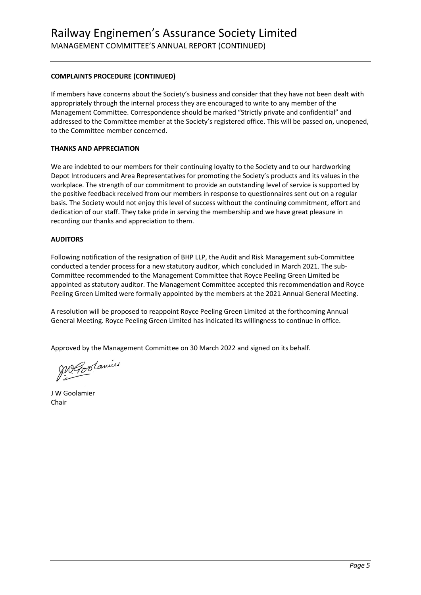#### **COMPLAINTS PROCEDURE (CONTINUED)**

If members have concerns about the Society's business and consider that they have not been dealt with appropriately through the internal process they are encouraged to write to any member of the Management Committee. Correspondence should be marked "Strictly private and confidential" and addressed to the Committee member at the Society's registered office. This will be passed on, unopened, to the Committee member concerned.

#### **THANKS AND APPRECIATION**

We are indebted to our members for their continuing loyalty to the Society and to our hardworking Depot Introducers and Area Representatives for promoting the Society's products and its values in the workplace. The strength of our commitment to provide an outstanding level of service is supported by the positive feedback received from our members in response to questionnaires sent out on a regular basis. The Society would not enjoy this level of success without the continuing commitment, effort and dedication of our staff. They take pride in serving the membership and we have great pleasure in recording our thanks and appreciation to them.

#### **AUDITORS**

Following notification of the resignation of BHP LLP, the Audit and Risk Management sub-Committee conducted a tender process for a new statutory auditor, which concluded in March 2021. The sub-Committee recommended to the Management Committee that Royce Peeling Green Limited be appointed as statutory auditor. The Management Committee accepted this recommendation and Royce Peeling Green Limited were formally appointed by the members at the 2021 Annual General Meeting.

A resolution will be proposed to reappoint Royce Peeling Green Limited at the forthcoming Annual General Meeting. Royce Peeling Green Limited has indicated its willingness to continue in office.

Approved by the Management Committee on 30 March 2022 and signed on its behalf.

Megoolamier

J W Goolamier Chair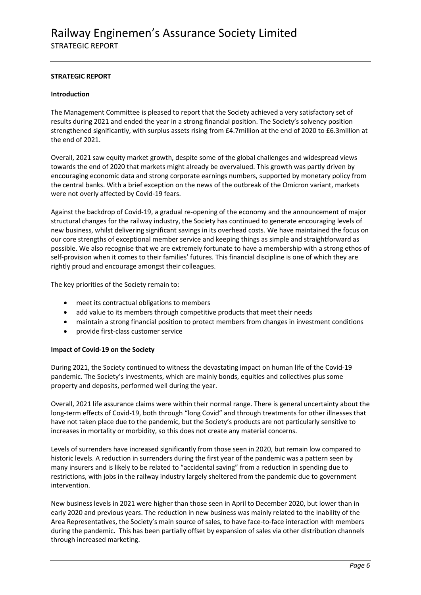#### **STRATEGIC REPORT**

#### **Introduction**

The Management Committee is pleased to report that the Society achieved a very satisfactory set of results during 2021 and ended the year in a strong financial position. The Society's solvency position strengthened significantly, with surplus assets rising from £4.7million at the end of 2020 to £6.3million at the end of 2021.

Overall, 2021 saw equity market growth, despite some of the global challenges and widespread views towards the end of 2020 that markets might already be overvalued. This growth was partly driven by encouraging economic data and strong corporate earnings numbers, supported by monetary policy from the central banks. With a brief exception on the news of the outbreak of the Omicron variant, markets were not overly affected by Covid-19 fears.

Against the backdrop of Covid-19, a gradual re-opening of the economy and the announcement of major structural changes for the railway industry, the Society has continued to generate encouraging levels of new business, whilst delivering significant savings in its overhead costs. We have maintained the focus on our core strengths of exceptional member service and keeping things as simple and straightforward as possible. We also recognise that we are extremely fortunate to have a membership with a strong ethos of self-provision when it comes to their families' futures. This financial discipline is one of which they are rightly proud and encourage amongst their colleagues.

The key priorities of the Society remain to:

- meet its contractual obligations to members
- add value to its members through competitive products that meet their needs
- maintain a strong financial position to protect members from changes in investment conditions
- provide first-class customer service

#### **Impact of Covid-19 on the Society**

During 2021, the Society continued to witness the devastating impact on human life of the Covid-19 pandemic. The Society's investments, which are mainly bonds, equities and collectives plus some property and deposits, performed well during the year.

Overall, 2021 life assurance claims were within their normal range. There is general uncertainty about the long-term effects of Covid-19, both through "long Covid" and through treatments for other illnesses that have not taken place due to the pandemic, but the Society's products are not particularly sensitive to increases in mortality or morbidity, so this does not create any material concerns.

Levels of surrenders have increased significantly from those seen in 2020, but remain low compared to historic levels. A reduction in surrenders during the first year of the pandemic was a pattern seen by many insurers and is likely to be related to "accidental saving" from a reduction in spending due to restrictions, with jobs in the railway industry largely sheltered from the pandemic due to government intervention.

New business levels in 2021 were higher than those seen in April to December 2020, but lower than in early 2020 and previous years. The reduction in new business was mainly related to the inability of the Area Representatives, the Society's main source of sales, to have face-to-face interaction with members during the pandemic. This has been partially offset by expansion of sales via other distribution channels through increased marketing.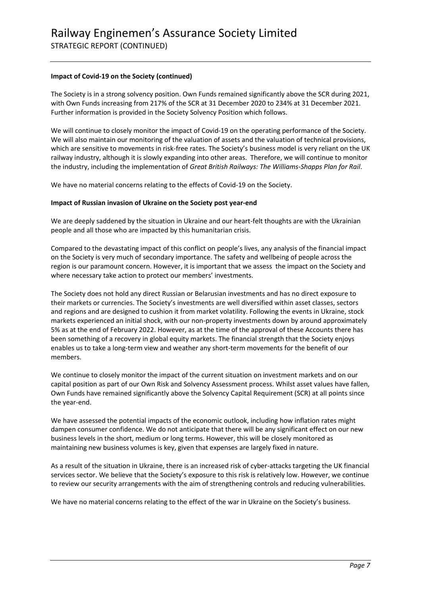#### **Impact of Covid-19 on the Society (continued)**

The Society is in a strong solvency position. Own Funds remained significantly above the SCR during 2021, with Own Funds increasing from 217% of the SCR at 31 December 2020 to 234% at 31 December 2021. Further information is provided in the Society Solvency Position which follows.

We will continue to closely monitor the impact of Covid-19 on the operating performance of the Society. We will also maintain our monitoring of the valuation of assets and the valuation of technical provisions, which are sensitive to movements in risk-free rates. The Society's business model is very reliant on the UK railway industry, although it is slowly expanding into other areas. Therefore, we will continue to monitor the industry, including the implementation of *Great British Railways: The Williams-Shapps Plan for Rail*.

We have no material concerns relating to the effects of Covid-19 on the Society.

#### **Impact of Russian invasion of Ukraine on the Society post year-end**

We are deeply saddened by the situation in Ukraine and our heart-felt thoughts are with the Ukrainian people and all those who are impacted by this humanitarian crisis.

Compared to the devastating impact of this conflict on people's lives, any analysis of the financial impact on the Society is very much of secondary importance. The safety and wellbeing of people across the region is our paramount concern. However, it is important that we assess the impact on the Society and where necessary take action to protect our members' investments.

The Society does not hold any direct Russian or Belarusian investments and has no direct exposure to their markets or currencies. The Society's investments are well diversified within asset classes, sectors and regions and are designed to cushion it from market volatility. Following the events in Ukraine, stock markets experienced an initial shock, with our non-property investments down by around approximately 5% as at the end of February 2022. However, as at the time of the approval of these Accounts there has been something of a recovery in global equity markets. The financial strength that the Society enjoys enables us to take a long-term view and weather any short-term movements for the benefit of our members.

We continue to closely monitor the impact of the current situation on investment markets and on our capital position as part of our Own Risk and Solvency Assessment process. Whilst asset values have fallen, Own Funds have remained significantly above the Solvency Capital Requirement (SCR) at all points since the year-end.

We have assessed the potential impacts of the economic outlook, including how inflation rates might dampen consumer confidence. We do not anticipate that there will be any significant effect on our new business levels in the short, medium or long terms. However, this will be closely monitored as maintaining new business volumes is key, given that expenses are largely fixed in nature.

As a result of the situation in Ukraine, there is an increased risk of cyber-attacks targeting the UK financial services sector. We believe that the Society's exposure to this risk is relatively low. However, we continue to review our security arrangements with the aim of strengthening controls and reducing vulnerabilities.

We have no material concerns relating to the effect of the war in Ukraine on the Society's business.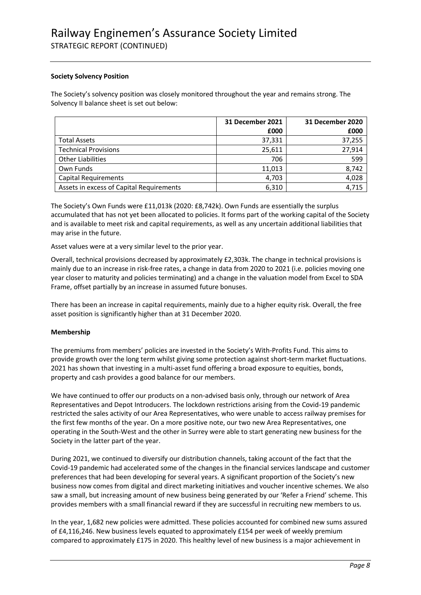#### **Society Solvency Position**

The Society's solvency position was closely monitored throughout the year and remains strong. The Solvency II balance sheet is set out below:

|                                          | <b>31 December 2021</b> | 31 December 2020 |
|------------------------------------------|-------------------------|------------------|
|                                          | £000                    | £000             |
| <b>Total Assets</b>                      | 37,331                  | 37,255           |
| <b>Technical Provisions</b>              | 25,611                  | 27,914           |
| <b>Other Liabilities</b>                 | 706                     | 599              |
| Own Funds                                | 11.013                  | 8,742            |
| <b>Capital Requirements</b>              | 4,703                   | 4,028            |
| Assets in excess of Capital Requirements | 6,310                   | 4,715            |

The Society's Own Funds were £11,013k (2020: £8,742k). Own Funds are essentially the surplus accumulated that has not yet been allocated to policies. It forms part of the working capital of the Society and is available to meet risk and capital requirements, as well as any uncertain additional liabilities that may arise in the future.

Asset values were at a very similar level to the prior year.

Overall, technical provisions decreased by approximately £2,303k. The change in technical provisions is mainly due to an increase in risk-free rates, a change in data from 2020 to 2021 (i.e. policies moving one year closer to maturity and policies terminating) and a change in the valuation model from Excel to SDA Frame, offset partially by an increase in assumed future bonuses.

There has been an increase in capital requirements, mainly due to a higher equity risk. Overall, the free asset position is significantly higher than at 31 December 2020.

#### **Membership**

The premiums from members' policies are invested in the Society's With-Profits Fund. This aims to provide growth over the long term whilst giving some protection against short-term market fluctuations. 2021 has shown that investing in a multi-asset fund offering a broad exposure to equities, bonds, property and cash provides a good balance for our members.

We have continued to offer our products on a non-advised basis only, through our network of Area Representatives and Depot Introducers. The lockdown restrictions arising from the Covid-19 pandemic restricted the sales activity of our Area Representatives, who were unable to access railway premises for the first few months of the year. On a more positive note, our two new Area Representatives, one operating in the South-West and the other in Surrey were able to start generating new business for the Society in the latter part of the year.

During 2021, we continued to diversify our distribution channels, taking account of the fact that the Covid-19 pandemic had accelerated some of the changes in the financial services landscape and customer preferences that had been developing for several years. A significant proportion of the Society's new business now comes from digital and direct marketing initiatives and voucher incentive schemes. We also saw a small, but increasing amount of new business being generated by our 'Refer a Friend' scheme. This provides members with a small financial reward if they are successful in recruiting new members to us.

In the year, 1,682 new policies were admitted. These policies accounted for combined new sums assured of £4,116,246. New business levels equated to approximately £154 per week of weekly premium compared to approximately £175 in 2020. This healthy level of new business is a major achievement in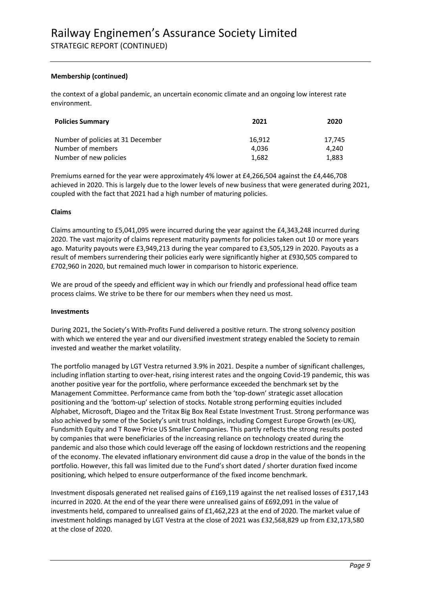#### **Membership (continued)**

the context of a global pandemic, an uncertain economic climate and an ongoing low interest rate environment.

| <b>Policies Summary</b>           | 2021   | 2020   |
|-----------------------------------|--------|--------|
| Number of policies at 31 December | 16.912 | 17.745 |
| Number of members                 | 4.036  | 4.240  |
| Number of new policies            | 1.682  | 1.883  |

Premiums earned for the year were approximately 4% lower at £4,266,504 against the £4,446,708 achieved in 2020. This is largely due to the lower levels of new business that were generated during 2021, coupled with the fact that 2021 had a high number of maturing policies.

#### **Claims**

Claims amounting to £5,041,095 were incurred during the year against the £4,343,248 incurred during 2020. The vast majority of claims represent maturity payments for policies taken out 10 or more years ago. Maturity payouts were £3,949,213 during the year compared to £3,505,129 in 2020. Payouts as a result of members surrendering their policies early were significantly higher at £930,505 compared to £702,960 in 2020, but remained much lower in comparison to historic experience.

We are proud of the speedy and efficient way in which our friendly and professional head office team process claims. We strive to be there for our members when they need us most.

#### **Investments**

During 2021, the Society's With-Profits Fund delivered a positive return. The strong solvency position with which we entered the year and our diversified investment strategy enabled the Society to remain invested and weather the market volatility.

The portfolio managed by LGT Vestra returned 3.9% in 2021. Despite a number of significant challenges, including inflation starting to over-heat, rising interest rates and the ongoing Covid-19 pandemic, this was another positive year for the portfolio, where performance exceeded the benchmark set by the Management Committee. Performance came from both the 'top-down' strategic asset allocation positioning and the 'bottom-up' selection of stocks. Notable strong performing equities included Alphabet, Microsoft, Diageo and the Tritax Big Box Real Estate Investment Trust. Strong performance was also achieved by some of the Society's unit trust holdings, including Comgest Europe Growth (ex-UK), Fundsmith Equity and T Rowe Price US Smaller Companies. This partly reflects the strong results posted by companies that were beneficiaries of the increasing reliance on technology created during the pandemic and also those which could leverage off the easing of lockdown restrictions and the reopening of the economy. The elevated inflationary environment did cause a drop in the value of the bonds in the portfolio. However, this fall was limited due to the Fund's short dated / shorter duration fixed income positioning, which helped to ensure outperformance of the fixed income benchmark.

Investment disposals generated net realised gains of £169,119 against the net realised losses of £317,143 incurred in 2020. At the end of the year there were unrealised gains of £692,091 in the value of investments held, compared to unrealised gains of £1,462,223 at the end of 2020. The market value of investment holdings managed by LGT Vestra at the close of 2021 was £32,568,829 up from £32,173,580 at the close of 2020.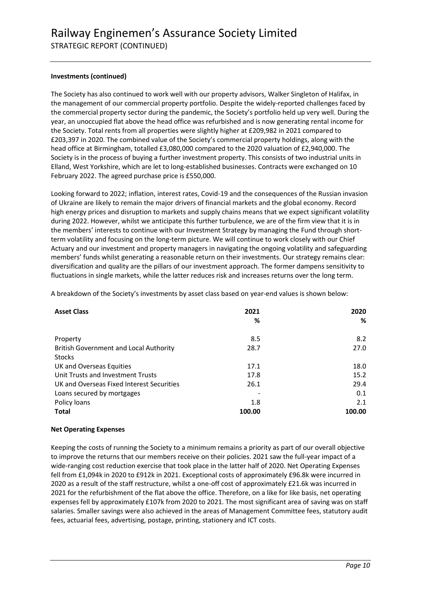#### **Investments (continued)**

The Society has also continued to work well with our property advisors, Walker Singleton of Halifax, in the management of our commercial property portfolio. Despite the widely-reported challenges faced by the commercial property sector during the pandemic, the Society's portfolio held up very well. During the year, an unoccupied flat above the head office was refurbished and is now generating rental income for the Society. Total rents from all properties were slightly higher at £209,982 in 2021 compared to £203,397 in 2020. The combined value of the Society's commercial property holdings, along with the head office at Birmingham, totalled £3,080,000 compared to the 2020 valuation of £2,940,000. The Society is in the process of buying a further investment property. This consists of two industrial units in Elland, West Yorkshire, which are let to long-established businesses. Contracts were exchanged on 10 February 2022. The agreed purchase price is £550,000.

Looking forward to 2022; inflation, interest rates, Covid-19 and the consequences of the Russian invasion of Ukraine are likely to remain the major drivers of financial markets and the global economy. Record high energy prices and disruption to markets and supply chains means that we expect significant volatility during 2022. However, whilst we anticipate this further turbulence, we are of the firm view that it is in the members' interests to continue with our Investment Strategy by managing the Fund through shortterm volatility and focusing on the long-term picture. We will continue to work closely with our Chief Actuary and our investment and property managers in navigating the ongoing volatility and safeguarding members' funds whilst generating a reasonable return on their investments. Our strategy remains clear: diversification and quality are the pillars of our investment approach. The former dampens sensitivity to fluctuations in single markets, while the latter reduces risk and increases returns over the long term.

**Asset Class 2021 % 2020 %** Property and the set of the set of the set of the set of the set of the set of the set of the set of the set o British Government and Local Authority **Stocks** 28.7 27.0 UK and Overseas Equities 17.1 18.0 Unit Trusts and Investment Trusts 17.8 15.2 UK and Overseas Fixed Interest Securities 26.1 29.4 Loans secured by mortgages and the control of the control of the control of the control of the control of the control of the control of the control of the control of the control of the control of the control of the control Policy loans 1.8 2.1 **Total 100.00 100.00**

A breakdown of the Society's investments by asset class based on year-end values is shown below:

#### **Net Operating Expenses**

Keeping the costs of running the Society to a minimum remains a priority as part of our overall objective to improve the returns that our members receive on their policies. 2021 saw the full-year impact of a wide-ranging cost reduction exercise that took place in the latter half of 2020. Net Operating Expenses fell from £1,094k in 2020 to £912k in 2021. Exceptional costs of approximately £96.8k were incurred in 2020 as a result of the staff restructure, whilst a one-off cost of approximately £21.6k was incurred in 2021 for the refurbishment of the flat above the office. Therefore, on a like for like basis, net operating expenses fell by approximately £107k from 2020 to 2021. The most significant area of saving was on staff salaries. Smaller savings were also achieved in the areas of Management Committee fees, statutory audit fees, actuarial fees, advertising, postage, printing, stationery and ICT costs.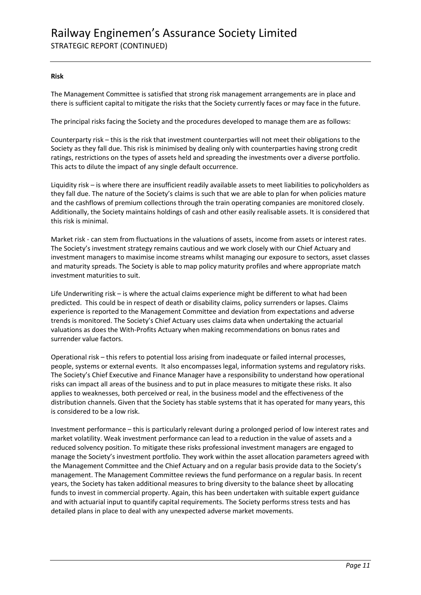#### **Risk**

The Management Committee is satisfied that strong risk management arrangements are in place and there is sufficient capital to mitigate the risks that the Society currently faces or may face in the future.

The principal risks facing the Society and the procedures developed to manage them are as follows:

Counterparty risk – this is the risk that investment counterparties will not meet their obligations to the Society as they fall due. This risk is minimised by dealing only with counterparties having strong credit ratings, restrictions on the types of assets held and spreading the investments over a diverse portfolio. This acts to dilute the impact of any single default occurrence.

Liquidity risk – is where there are insufficient readily available assets to meet liabilities to policyholders as they fall due. The nature of the Society's claims is such that we are able to plan for when policies mature and the cashflows of premium collections through the train operating companies are monitored closely. Additionally, the Society maintains holdings of cash and other easily realisable assets. It is considered that this risk is minimal.

Market risk - can stem from fluctuations in the valuations of assets, income from assets or interest rates. The Society's investment strategy remains cautious and we work closely with our Chief Actuary and investment managers to maximise income streams whilst managing our exposure to sectors, asset classes and maturity spreads. The Society is able to map policy maturity profiles and where appropriate match investment maturities to suit.

Life Underwriting risk – is where the actual claims experience might be different to what had been predicted. This could be in respect of death or disability claims, policy surrenders or lapses. Claims experience is reported to the Management Committee and deviation from expectations and adverse trends is monitored. The Society's Chief Actuary uses claims data when undertaking the actuarial valuations as does the With-Profits Actuary when making recommendations on bonus rates and surrender value factors.

Operational risk – this refers to potential loss arising from inadequate or failed internal processes, people, systems or external events. It also encompasses legal, information systems and regulatory risks. The Society's Chief Executive and Finance Manager have a responsibility to understand how operational risks can impact all areas of the business and to put in place measures to mitigate these risks. It also applies to weaknesses, both perceived or real, in the business model and the effectiveness of the distribution channels. Given that the Society has stable systems that it has operated for many years, this is considered to be a low risk.

Investment performance – this is particularly relevant during a prolonged period of low interest rates and market volatility. Weak investment performance can lead to a reduction in the value of assets and a reduced solvency position. To mitigate these risks professional investment managers are engaged to manage the Society's investment portfolio. They work within the asset allocation parameters agreed with the Management Committee and the Chief Actuary and on a regular basis provide data to the Society's management. The Management Committee reviews the fund performance on a regular basis. In recent years, the Society has taken additional measures to bring diversity to the balance sheet by allocating funds to invest in commercial property. Again, this has been undertaken with suitable expert guidance and with actuarial input to quantify capital requirements. The Society performs stress tests and has detailed plans in place to deal with any unexpected adverse market movements.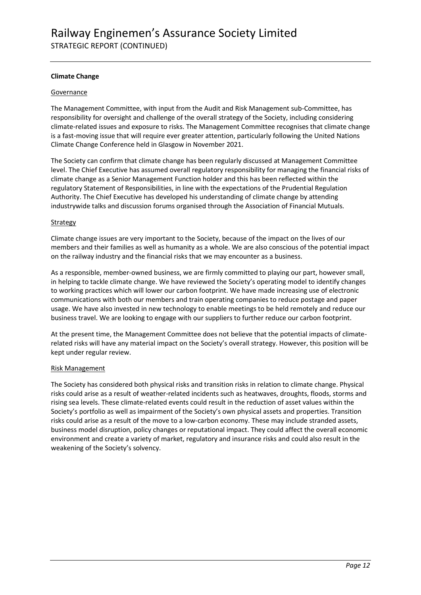#### **Climate Change**

#### Governance

The Management Committee, with input from the Audit and Risk Management sub-Committee, has responsibility for oversight and challenge of the overall strategy of the Society, including considering climate-related issues and exposure to risks. The Management Committee recognises that climate change is a fast-moving issue that will require ever greater attention, particularly following the United Nations Climate Change Conference held in Glasgow in November 2021.

The Society can confirm that climate change has been regularly discussed at Management Committee level. The Chief Executive has assumed overall regulatory responsibility for managing the financial risks of climate change as a Senior Management Function holder and this has been reflected within the regulatory Statement of Responsibilities, in line with the expectations of the Prudential Regulation Authority. The Chief Executive has developed his understanding of climate change by attending industrywide talks and discussion forums organised through the Association of Financial Mutuals.

#### **Strategy**

Climate change issues are very important to the Society, because of the impact on the lives of our members and their families as well as humanity as a whole. We are also conscious of the potential impact on the railway industry and the financial risks that we may encounter as a business.

As a responsible, member-owned business, we are firmly committed to playing our part, however small, in helping to tackle climate change. We have reviewed the Society's operating model to identify changes to working practices which will lower our carbon footprint. We have made increasing use of electronic communications with both our members and train operating companies to reduce postage and paper usage. We have also invested in new technology to enable meetings to be held remotely and reduce our business travel. We are looking to engage with our suppliers to further reduce our carbon footprint.

At the present time, the Management Committee does not believe that the potential impacts of climaterelated risks will have any material impact on the Society's overall strategy. However, this position will be kept under regular review.

#### Risk Management

The Society has considered both physical risks and transition risks in relation to climate change. Physical risks could arise as a result of weather-related incidents such as heatwaves, droughts, floods, storms and rising sea levels. These climate-related events could result in the reduction of asset values within the Society's portfolio as well as impairment of the Society's own physical assets and properties. Transition risks could arise as a result of the move to a low-carbon economy. These may include stranded assets, business model disruption, policy changes or reputational impact. They could affect the overall economic environment and create a variety of market, regulatory and insurance risks and could also result in the weakening of the Society's solvency.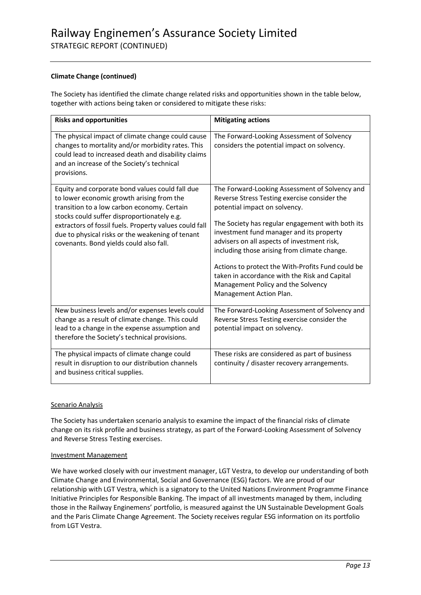#### **Climate Change (continued)**

The Society has identified the climate change related risks and opportunities shown in the table below, together with actions being taken or considered to mitigate these risks:

| <b>Risks and opportunities</b>                                                                                                                                                                                                                                                                                                                      | <b>Mitigating actions</b>                                                                                                                                                                                                                                                                                                                                                                                                                                                                             |
|-----------------------------------------------------------------------------------------------------------------------------------------------------------------------------------------------------------------------------------------------------------------------------------------------------------------------------------------------------|-------------------------------------------------------------------------------------------------------------------------------------------------------------------------------------------------------------------------------------------------------------------------------------------------------------------------------------------------------------------------------------------------------------------------------------------------------------------------------------------------------|
| The physical impact of climate change could cause<br>changes to mortality and/or morbidity rates. This<br>could lead to increased death and disability claims<br>and an increase of the Society's technical<br>provisions.                                                                                                                          | The Forward-Looking Assessment of Solvency<br>considers the potential impact on solvency.                                                                                                                                                                                                                                                                                                                                                                                                             |
| Equity and corporate bond values could fall due<br>to lower economic growth arising from the<br>transition to a low carbon economy. Certain<br>stocks could suffer disproportionately e.g.<br>extractors of fossil fuels. Property values could fall<br>due to physical risks or the weakening of tenant<br>covenants. Bond yields could also fall. | The Forward-Looking Assessment of Solvency and<br>Reverse Stress Testing exercise consider the<br>potential impact on solvency.<br>The Society has regular engagement with both its<br>investment fund manager and its property<br>advisers on all aspects of investment risk,<br>including those arising from climate change.<br>Actions to protect the With-Profits Fund could be<br>taken in accordance with the Risk and Capital<br>Management Policy and the Solvency<br>Management Action Plan. |
| New business levels and/or expenses levels could<br>change as a result of climate change. This could<br>lead to a change in the expense assumption and<br>therefore the Society's technical provisions.                                                                                                                                             | The Forward-Looking Assessment of Solvency and<br>Reverse Stress Testing exercise consider the<br>potential impact on solvency.                                                                                                                                                                                                                                                                                                                                                                       |
| The physical impacts of climate change could<br>result in disruption to our distribution channels<br>and business critical supplies.                                                                                                                                                                                                                | These risks are considered as part of business<br>continuity / disaster recovery arrangements.                                                                                                                                                                                                                                                                                                                                                                                                        |

#### Scenario Analysis

The Society has undertaken scenario analysis to examine the impact of the financial risks of climate change on its risk profile and business strategy, as part of the Forward-Looking Assessment of Solvency and Reverse Stress Testing exercises.

#### Investment Management

We have worked closely with our investment manager, LGT Vestra, to develop our understanding of both Climate Change and Environmental, Social and Governance (ESG) factors. We are proud of our relationship with LGT Vestra, which is a signatory to the United Nations Environment Programme Finance Initiative Principles for Responsible Banking. The impact of all investments managed by them, including those in the Railway Enginemens' portfolio, is measured against the UN Sustainable Development Goals and the Paris Climate Change Agreement. The Society receives regular ESG information on its portfolio from LGT Vestra.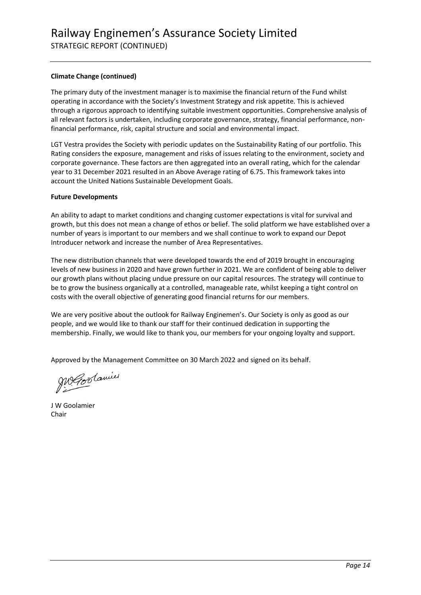#### **Climate Change (continued)**

The primary duty of the investment manager is to maximise the financial return of the Fund whilst operating in accordance with the Society's Investment Strategy and risk appetite. This is achieved through a rigorous approach to identifying suitable investment opportunities. Comprehensive analysis of all relevant factors is undertaken, including corporate governance, strategy, financial performance, nonfinancial performance, risk, capital structure and social and environmental impact.

LGT Vestra provides the Society with periodic updates on the Sustainability Rating of our portfolio. This Rating considers the exposure, management and risks of issues relating to the environment, society and corporate governance. These factors are then aggregated into an overall rating, which for the calendar year to 31 December 2021 resulted in an Above Average rating of 6.75. This framework takes into account the United Nations Sustainable Development Goals.

#### **Future Developments**

An ability to adapt to market conditions and changing customer expectations is vital for survival and growth, but this does not mean a change of ethos or belief. The solid platform we have established over a number of years is important to our members and we shall continue to work to expand our Depot Introducer network and increase the number of Area Representatives.

The new distribution channels that were developed towards the end of 2019 brought in encouraging levels of new business in 2020 and have grown further in 2021. We are confident of being able to deliver our growth plans without placing undue pressure on our capital resources. The strategy will continue to be to grow the business organically at a controlled, manageable rate, whilst keeping a tight control on costs with the overall objective of generating good financial returns for our members.

We are very positive about the outlook for Railway Enginemen's. Our Society is only as good as our people, and we would like to thank our staff for their continued dedication in supporting the membership. Finally, we would like to thank you, our members for your ongoing loyalty and support.

Approved by the Management Committee on 30 March 2022 and signed on its behalf.

MGoslavie

J W Goolamier Chair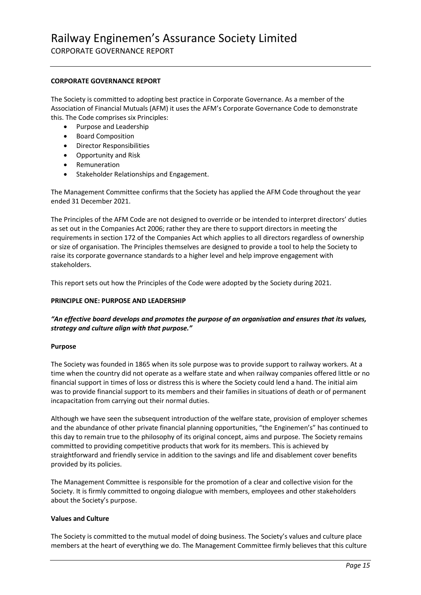CORPORATE GOVERNANCE REPORT

#### **CORPORATE GOVERNANCE REPORT**

The Society is committed to adopting best practice in Corporate Governance. As a member of the Association of Financial Mutuals (AFM) it uses the AFM's Corporate Governance Code to demonstrate this. The Code comprises six Principles:

- Purpose and Leadership
- Board Composition
- Director Responsibilities
- Opportunity and Risk
- **Remuneration**
- Stakeholder Relationships and Engagement.

The Management Committee confirms that the Society has applied the AFM Code throughout the year ended 31 December 2021.

The Principles of the AFM Code are not designed to override or be intended to interpret directors' duties as set out in the Companies Act 2006; rather they are there to support directors in meeting the requirements in section 172 of the Companies Act which applies to all directors regardless of ownership or size of organisation. The Principles themselves are designed to provide a tool to help the Society to raise its corporate governance standards to a higher level and help improve engagement with stakeholders.

This report sets out how the Principles of the Code were adopted by the Society during 2021.

#### **PRINCIPLE ONE: PURPOSE AND LEADERSHIP**

#### *"An effective board develops and promotes the purpose of an organisation and ensures that its values, strategy and culture align with that purpose."*

#### **Purpose**

The Society was founded in 1865 when its sole purpose was to provide support to railway workers. At a time when the country did not operate as a welfare state and when railway companies offered little or no financial support in times of loss or distress this is where the Society could lend a hand. The initial aim was to provide financial support to its members and their families in situations of death or of permanent incapacitation from carrying out their normal duties.

Although we have seen the subsequent introduction of the welfare state, provision of employer schemes and the abundance of other private financial planning opportunities, "the Enginemen's" has continued to this day to remain true to the philosophy of its original concept, aims and purpose. The Society remains committed to providing competitive products that work for its members. This is achieved by straightforward and friendly service in addition to the savings and life and disablement cover benefits provided by its policies.

The Management Committee is responsible for the promotion of a clear and collective vision for the Society. It is firmly committed to ongoing dialogue with members, employees and other stakeholders about the Society's purpose.

#### **Values and Culture**

The Society is committed to the mutual model of doing business. The Society's values and culture place members at the heart of everything we do. The Management Committee firmly believes that this culture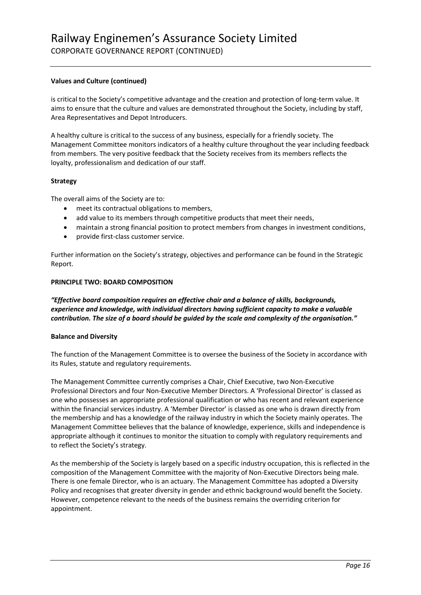#### **Values and Culture (continued)**

is critical to the Society's competitive advantage and the creation and protection of long-term value. It aims to ensure that the culture and values are demonstrated throughout the Society, including by staff, Area Representatives and Depot Introducers.

A healthy culture is critical to the success of any business, especially for a friendly society. The Management Committee monitors indicators of a healthy culture throughout the year including feedback from members. The very positive feedback that the Society receives from its members reflects the loyalty, professionalism and dedication of our staff.

#### **Strategy**

The overall aims of the Society are to:

- meet its contractual obligations to members,
- add value to its members through competitive products that meet their needs,
- maintain a strong financial position to protect members from changes in investment conditions,
- provide first-class customer service.

Further information on the Society's strategy, objectives and performance can be found in the Strategic Report.

#### **PRINCIPLE TWO: BOARD COMPOSITION**

*"Effective board composition requires an effective chair and a balance of skills, backgrounds, experience and knowledge, with individual directors having sufficient capacity to make a valuable contribution. The size of a board should be guided by the scale and complexity of the organisation."*

#### **Balance and Diversity**

The function of the Management Committee is to oversee the business of the Society in accordance with its Rules, statute and regulatory requirements.

The Management Committee currently comprises a Chair, Chief Executive, two Non-Executive Professional Directors and four Non-Executive Member Directors. A 'Professional Director' is classed as one who possesses an appropriate professional qualification or who has recent and relevant experience within the financial services industry. A 'Member Director' is classed as one who is drawn directly from the membership and has a knowledge of the railway industry in which the Society mainly operates. The Management Committee believes that the balance of knowledge, experience, skills and independence is appropriate although it continues to monitor the situation to comply with regulatory requirements and to reflect the Society's strategy.

As the membership of the Society is largely based on a specific industry occupation, this is reflected in the composition of the Management Committee with the majority of Non-Executive Directors being male. There is one female Director, who is an actuary. The Management Committee has adopted a Diversity Policy and recognises that greater diversity in gender and ethnic background would benefit the Society. However, competence relevant to the needs of the business remains the overriding criterion for appointment.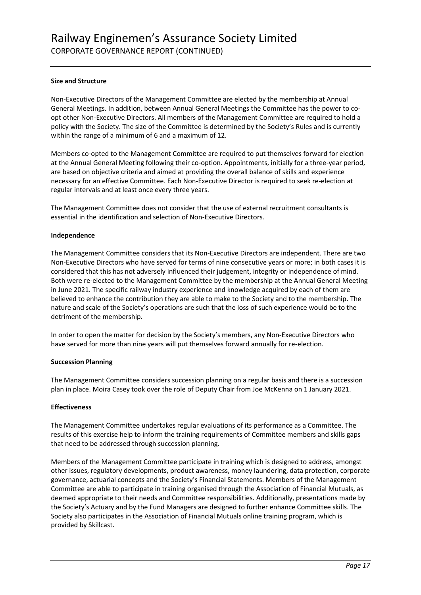#### **Size and Structure**

Non-Executive Directors of the Management Committee are elected by the membership at Annual General Meetings. In addition, between Annual General Meetings the Committee has the power to coopt other Non-Executive Directors. All members of the Management Committee are required to hold a policy with the Society. The size of the Committee is determined by the Society's Rules and is currently within the range of a minimum of 6 and a maximum of 12.

Members co-opted to the Management Committee are required to put themselves forward for election at the Annual General Meeting following their co-option. Appointments, initially for a three-year period, are based on objective criteria and aimed at providing the overall balance of skills and experience necessary for an effective Committee. Each Non-Executive Director is required to seek re-election at regular intervals and at least once every three years.

The Management Committee does not consider that the use of external recruitment consultants is essential in the identification and selection of Non-Executive Directors.

#### **Independence**

The Management Committee considers that its Non-Executive Directors are independent. There are two Non-Executive Directors who have served for terms of nine consecutive years or more; in both cases it is considered that this has not adversely influenced their judgement, integrity or independence of mind. Both were re-elected to the Management Committee by the membership at the Annual General Meeting in June 2021. The specific railway industry experience and knowledge acquired by each of them are believed to enhance the contribution they are able to make to the Society and to the membership. The nature and scale of the Society's operations are such that the loss of such experience would be to the detriment of the membership.

In order to open the matter for decision by the Society's members, any Non-Executive Directors who have served for more than nine years will put themselves forward annually for re-election.

#### **Succession Planning**

The Management Committee considers succession planning on a regular basis and there is a succession plan in place. Moira Casey took over the role of Deputy Chair from Joe McKenna on 1 January 2021.

#### **Effectiveness**

The Management Committee undertakes regular evaluations of its performance as a Committee. The results of this exercise help to inform the training requirements of Committee members and skills gaps that need to be addressed through succession planning.

Members of the Management Committee participate in training which is designed to address, amongst other issues, regulatory developments, product awareness, money laundering, data protection, corporate governance, actuarial concepts and the Society's Financial Statements. Members of the Management Committee are able to participate in training organised through the Association of Financial Mutuals, as deemed appropriate to their needs and Committee responsibilities. Additionally, presentations made by the Society's Actuary and by the Fund Managers are designed to further enhance Committee skills. The Society also participates in the Association of Financial Mutuals online training program, which is provided by Skillcast.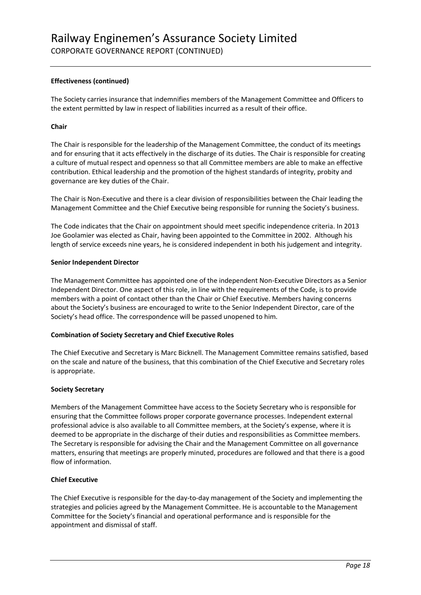#### **Effectiveness (continued)**

The Society carries insurance that indemnifies members of the Management Committee and Officers to the extent permitted by law in respect of liabilities incurred as a result of their office.

#### **Chair**

The Chair is responsible for the leadership of the Management Committee, the conduct of its meetings and for ensuring that it acts effectively in the discharge of its duties. The Chair is responsible for creating a culture of mutual respect and openness so that all Committee members are able to make an effective contribution. Ethical leadership and the promotion of the highest standards of integrity, probity and governance are key duties of the Chair.

The Chair is Non-Executive and there is a clear division of responsibilities between the Chair leading the Management Committee and the Chief Executive being responsible for running the Society's business.

The Code indicates that the Chair on appointment should meet specific independence criteria. In 2013 Joe Goolamier was elected as Chair, having been appointed to the Committee in 2002. Although his length of service exceeds nine years, he is considered independent in both his judgement and integrity.

#### **Senior Independent Director**

The Management Committee has appointed one of the independent Non-Executive Directors as a Senior Independent Director. One aspect of this role, in line with the requirements of the Code, is to provide members with a point of contact other than the Chair or Chief Executive. Members having concerns about the Society's business are encouraged to write to the Senior Independent Director, care of the Society's head office. The correspondence will be passed unopened to him.

#### **Combination of Society Secretary and Chief Executive Roles**

The Chief Executive and Secretary is Marc Bicknell. The Management Committee remains satisfied, based on the scale and nature of the business, that this combination of the Chief Executive and Secretary roles is appropriate.

#### **Society Secretary**

Members of the Management Committee have access to the Society Secretary who is responsible for ensuring that the Committee follows proper corporate governance processes. Independent external professional advice is also available to all Committee members, at the Society's expense, where it is deemed to be appropriate in the discharge of their duties and responsibilities as Committee members. The Secretary is responsible for advising the Chair and the Management Committee on all governance matters, ensuring that meetings are properly minuted, procedures are followed and that there is a good flow of information.

#### **Chief Executive**

The Chief Executive is responsible for the day-to-day management of the Society and implementing the strategies and policies agreed by the Management Committee. He is accountable to the Management Committee for the Society's financial and operational performance and is responsible for the appointment and dismissal of staff.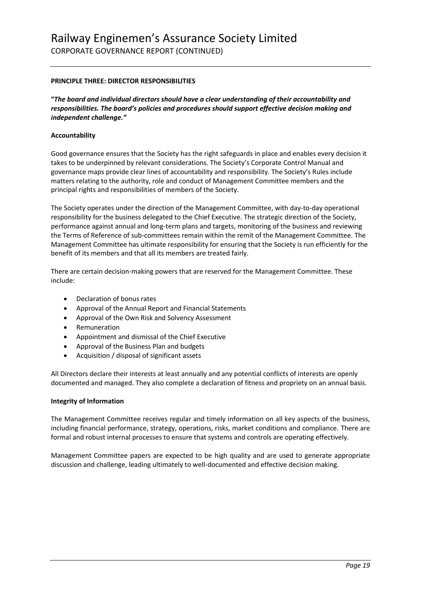#### **PRINCIPLE THREE: DIRECTOR RESPONSIBILITIES**

**"***The board and individual directors should have a clear understanding of their accountability and responsibilities. The board's policies and procedures should support effective decision making and independent challenge."*

#### **Accountability**

Good governance ensures that the Society has the right safeguards in place and enables every decision it takes to be underpinned by relevant considerations. The Society's Corporate Control Manual and governance maps provide clear lines of accountability and responsibility. The Society's Rules include matters relating to the authority, role and conduct of Management Committee members and the principal rights and responsibilities of members of the Society.

The Society operates under the direction of the Management Committee, with day-to-day operational responsibility for the business delegated to the Chief Executive. The strategic direction of the Society, performance against annual and long-term plans and targets, monitoring of the business and reviewing the Terms of Reference of sub-committees remain within the remit of the Management Committee. The Management Committee has ultimate responsibility for ensuring that the Society is run efficiently for the benefit of its members and that all its members are treated fairly.

There are certain decision-making powers that are reserved for the Management Committee. These include:

- Declaration of bonus rates
- Approval of the Annual Report and Financial Statements
- Approval of the Own Risk and Solvency Assessment
- **Remuneration**
- Appointment and dismissal of the Chief Executive
- Approval of the Business Plan and budgets
- Acquisition / disposal of significant assets

All Directors declare their interests at least annually and any potential conflicts of interests are openly documented and managed. They also complete a declaration of fitness and propriety on an annual basis.

#### **Integrity of Information**

The Management Committee receives regular and timely information on all key aspects of the business, including financial performance, strategy, operations, risks, market conditions and compliance. There are formal and robust internal processes to ensure that systems and controls are operating effectively.

Management Committee papers are expected to be high quality and are used to generate appropriate discussion and challenge, leading ultimately to well-documented and effective decision making.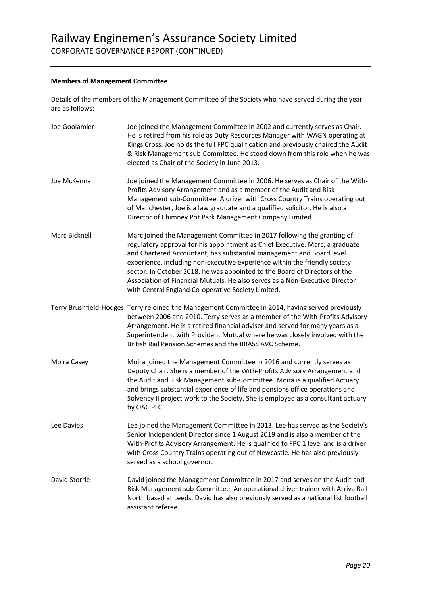#### **Members of Management Committee**

Details of the members of the Management Committee of the Society who have served during the year are as follows:

| Joe Goolamier | Joe joined the Management Committee in 2002 and currently serves as Chair.<br>He is retired from his role as Duty Resources Manager with WAGN operating at<br>Kings Cross. Joe holds the full FPC qualification and previously chaired the Audit<br>& Risk Management sub-Committee. He stood down from this role when he was<br>elected as Chair of the Society in June 2013.                                                                                                                                                   |
|---------------|----------------------------------------------------------------------------------------------------------------------------------------------------------------------------------------------------------------------------------------------------------------------------------------------------------------------------------------------------------------------------------------------------------------------------------------------------------------------------------------------------------------------------------|
| Joe McKenna   | Joe joined the Management Committee in 2006. He serves as Chair of the With-<br>Profits Advisory Arrangement and as a member of the Audit and Risk<br>Management sub-Committee. A driver with Cross Country Trains operating out<br>of Manchester, Joe is a law graduate and a qualified solicitor. He is also a<br>Director of Chimney Pot Park Management Company Limited.                                                                                                                                                     |
| Marc Bicknell | Marc joined the Management Committee in 2017 following the granting of<br>regulatory approval for his appointment as Chief Executive. Marc, a graduate<br>and Chartered Accountant, has substantial management and Board level<br>experience, including non-executive experience within the friendly society<br>sector. In October 2018, he was appointed to the Board of Directors of the<br>Association of Financial Mutuals. He also serves as a Non-Executive Director<br>with Central England Co-operative Society Limited. |
|               | Terry Brushfield-Hodges Terry rejoined the Management Committee in 2014, having served previously<br>between 2006 and 2010. Terry serves as a member of the With-Profits Advisory<br>Arrangement. He is a retired financial adviser and served for many years as a<br>Superintendent with Provident Mutual where he was closely involved with the<br>British Rail Pension Schemes and the BRASS AVC Scheme.                                                                                                                      |
| Moira Casey   | Moira joined the Management Committee in 2016 and currently serves as<br>Deputy Chair. She is a member of the With-Profits Advisory Arrangement and<br>the Audit and Risk Management sub-Committee. Moira is a qualified Actuary<br>and brings substantial experience of life and pensions office operations and<br>Solvency II project work to the Society. She is employed as a consultant actuary<br>by OAC PLC.                                                                                                              |
| Lee Davies    | Lee joined the Management Committee in 2013. Lee has served as the Society's<br>Senior Independent Director since 1 August 2019 and is also a member of the<br>With-Profits Advisory Arrangement. He is qualified to FPC 1 level and is a driver<br>with Cross Country Trains operating out of Newcastle. He has also previously<br>served as a school governor.                                                                                                                                                                 |
| David Storrie | David joined the Management Committee in 2017 and serves on the Audit and<br>Risk Management sub-Committee. An operational driver trainer with Arriva Rail<br>North based at Leeds, David has also previously served as a national list football<br>assistant referee.                                                                                                                                                                                                                                                           |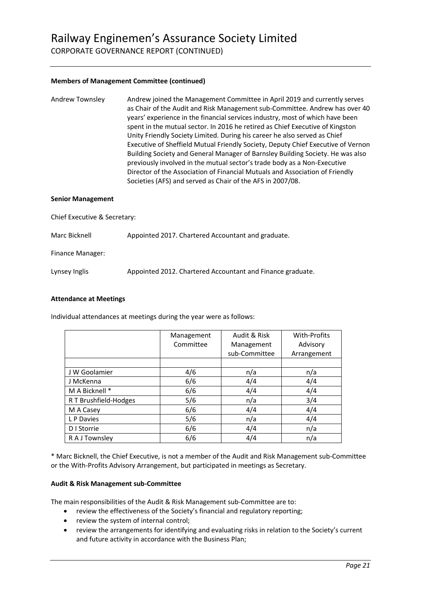CORPORATE GOVERNANCE REPORT (CONTINUED)

#### **Members of Management Committee (continued)**

| Andrew Townsley | Andrew joined the Management Committee in April 2019 and currently serves<br>as Chair of the Audit and Risk Management sub-Committee. Andrew has over 40<br>years' experience in the financial services industry, most of which have been |
|-----------------|-------------------------------------------------------------------------------------------------------------------------------------------------------------------------------------------------------------------------------------------|
|                 | spent in the mutual sector. In 2016 he retired as Chief Executive of Kingston                                                                                                                                                             |
|                 | Unity Friendly Society Limited. During his career he also served as Chief                                                                                                                                                                 |
|                 | Executive of Sheffield Mutual Friendly Society, Deputy Chief Executive of Vernon                                                                                                                                                          |
|                 | Building Society and General Manager of Barnsley Building Society. He was also<br>previously involved in the mutual sector's trade body as a Non-Executive                                                                                |
|                 | Director of the Association of Financial Mutuals and Association of Friendly                                                                                                                                                              |
|                 | Societies (AFS) and served as Chair of the AFS in 2007/08.                                                                                                                                                                                |

#### **Senior Management**

Chief Executive & Secretary:

Marc Bicknell Appointed 2017. Chartered Accountant and graduate.

Finance Manager:

Lynsey Inglis Appointed 2012. Chartered Accountant and Finance graduate.

#### **Attendance at Meetings**

Individual attendances at meetings during the year were as follows:

|                       | Management<br>Committee | Audit & Risk<br>Management<br>sub-Committee | With-Profits<br>Advisory<br>Arrangement |  |
|-----------------------|-------------------------|---------------------------------------------|-----------------------------------------|--|
|                       |                         |                                             |                                         |  |
| J W Goolamier         | 4/6                     | n/a                                         | n/a                                     |  |
| J McKenna             | 6/6                     | 4/4                                         | 4/4                                     |  |
| M A Bicknell *        | 6/6                     | 4/4                                         | 4/4                                     |  |
| R T Brushfield-Hodges | 5/6                     | n/a                                         | 3/4                                     |  |
| M A Casey             | 6/6                     | 4/4                                         | 4/4                                     |  |
| L P Davies            | 5/6                     | n/a                                         | 4/4                                     |  |
| D I Storrie           | 6/6                     | 4/4                                         | n/a                                     |  |
| R A J Townsley        | 6/6                     | 4/4                                         | n/a                                     |  |

\* Marc Bicknell, the Chief Executive, is not a member of the Audit and Risk Management sub-Committee or the With-Profits Advisory Arrangement, but participated in meetings as Secretary.

#### **Audit & Risk Management sub-Committee**

The main responsibilities of the Audit & Risk Management sub-Committee are to:

- review the effectiveness of the Society's financial and regulatory reporting;
- review the system of internal control;
- review the arrangements for identifying and evaluating risks in relation to the Society's current and future activity in accordance with the Business Plan;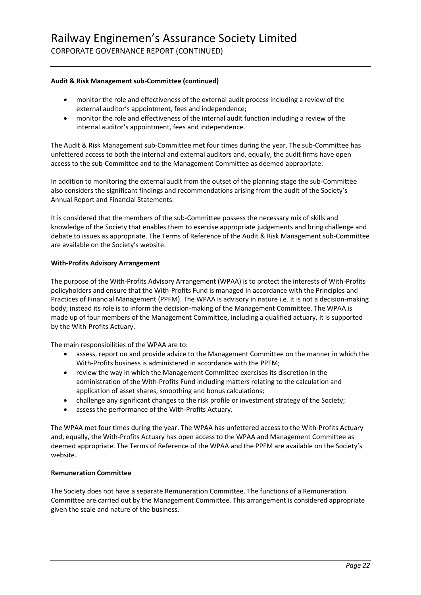CORPORATE GOVERNANCE REPORT (CONTINUED)

#### **Audit & Risk Management sub-Committee (continued)**

- monitor the role and effectiveness of the external audit process including a review of the external auditor's appointment, fees and independence;
- monitor the role and effectiveness of the internal audit function including a review of the internal auditor's appointment, fees and independence.

The Audit & Risk Management sub-Committee met four times during the year. The sub-Committee has unfettered access to both the internal and external auditors and, equally, the audit firms have open access to the sub-Committee and to the Management Committee as deemed appropriate.

In addition to monitoring the external audit from the outset of the planning stage the sub-Committee also considers the significant findings and recommendations arising from the audit of the Society's Annual Report and Financial Statements.

It is considered that the members of the sub-Committee possess the necessary mix of skills and knowledge of the Society that enables them to exercise appropriate judgements and bring challenge and debate to issues as appropriate. The Terms of Reference of the Audit & Risk Management sub-Committee are available on the Society's website.

#### **With-Profits Advisory Arrangement**

The purpose of the With-Profits Advisory Arrangement (WPAA) is to protect the interests of With-Profits policyholders and ensure that the With-Profits Fund is managed in accordance with the Principles and Practices of Financial Management (PPFM). The WPAA is advisory in nature i.e. it is not a decision-making body; instead its role is to inform the decision-making of the Management Committee. The WPAA is made up of four members of the Management Committee, including a qualified actuary. It is supported by the With-Profits Actuary.

The main responsibilities of the WPAA are to:

- assess, report on and provide advice to the Management Committee on the manner in which the With-Profits business is administered in accordance with the PPFM;
- review the way in which the Management Committee exercises its discretion in the administration of the With-Profits Fund including matters relating to the calculation and application of asset shares, smoothing and bonus calculations;
- challenge any significant changes to the risk profile or investment strategy of the Society;
- assess the performance of the With-Profits Actuary.

The WPAA met four times during the year. The WPAA has unfettered access to the With-Profits Actuary and, equally, the With-Profits Actuary has open access to the WPAA and Management Committee as deemed appropriate. The Terms of Reference of the WPAA and the PPFM are available on the Society's website.

#### **Remuneration Committee**

The Society does not have a separate Remuneration Committee. The functions of a Remuneration Committee are carried out by the Management Committee. This arrangement is considered appropriate given the scale and nature of the business.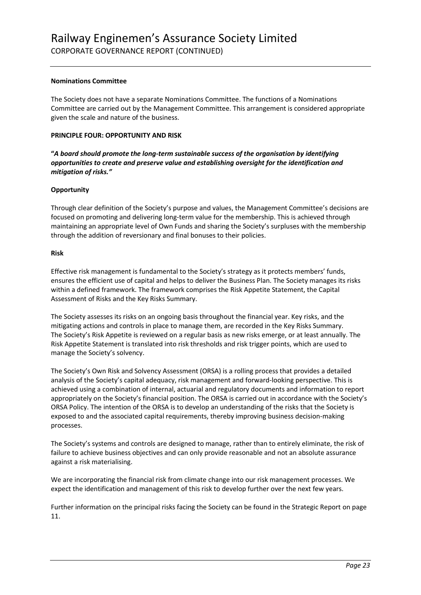#### **Nominations Committee**

The Society does not have a separate Nominations Committee. The functions of a Nominations Committee are carried out by the Management Committee. This arrangement is considered appropriate given the scale and nature of the business.

#### **PRINCIPLE FOUR: OPPORTUNITY AND RISK**

**"***A board should promote the long-term sustainable success of the organisation by identifying opportunities to create and preserve value and establishing oversight for the identification and mitigation of risks."*

#### **Opportunity**

Through clear definition of the Society's purpose and values, the Management Committee's decisions are focused on promoting and delivering long-term value for the membership. This is achieved through maintaining an appropriate level of Own Funds and sharing the Society's surpluses with the membership through the addition of reversionary and final bonuses to their policies.

#### **Risk**

Effective risk management is fundamental to the Society's strategy as it protects members' funds, ensures the efficient use of capital and helps to deliver the Business Plan. The Society manages its risks within a defined framework. The framework comprises the Risk Appetite Statement, the Capital Assessment of Risks and the Key Risks Summary.

The Society assesses its risks on an ongoing basis throughout the financial year. Key risks, and the mitigating actions and controls in place to manage them, are recorded in the Key Risks Summary. The Society's Risk Appetite is reviewed on a regular basis as new risks emerge, or at least annually. The Risk Appetite Statement is translated into risk thresholds and risk trigger points, which are used to manage the Society's solvency.

The Society's Own Risk and Solvency Assessment (ORSA) is a rolling process that provides a detailed analysis of the Society's capital adequacy, risk management and forward-looking perspective. This is achieved using a combination of internal, actuarial and regulatory documents and information to report appropriately on the Society's financial position. The ORSA is carried out in accordance with the Society's ORSA Policy. The intention of the ORSA is to develop an understanding of the risks that the Society is exposed to and the associated capital requirements, thereby improving business decision-making processes.

The Society's systems and controls are designed to manage, rather than to entirely eliminate, the risk of failure to achieve business objectives and can only provide reasonable and not an absolute assurance against a risk materialising.

We are incorporating the financial risk from climate change into our risk management processes. We expect the identification and management of this risk to develop further over the next few years.

Further information on the principal risks facing the Society can be found in the Strategic Report on page 11.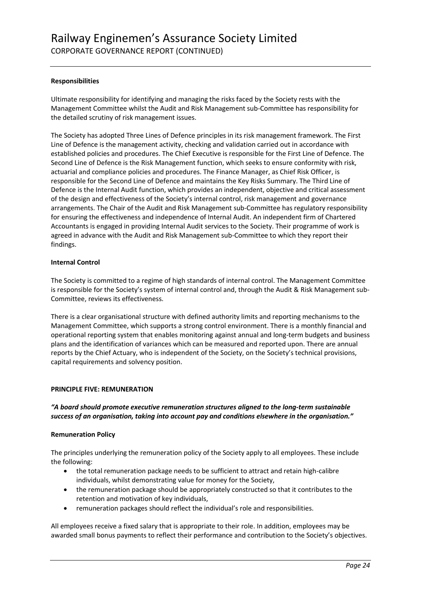#### **Responsibilities**

Ultimate responsibility for identifying and managing the risks faced by the Society rests with the Management Committee whilst the Audit and Risk Management sub-Committee has responsibility for the detailed scrutiny of risk management issues.

The Society has adopted Three Lines of Defence principles in its risk management framework. The First Line of Defence is the management activity, checking and validation carried out in accordance with established policies and procedures. The Chief Executive is responsible for the First Line of Defence. The Second Line of Defence is the Risk Management function, which seeks to ensure conformity with risk, actuarial and compliance policies and procedures. The Finance Manager, as Chief Risk Officer, is responsible for the Second Line of Defence and maintains the Key Risks Summary. The Third Line of Defence is the Internal Audit function, which provides an independent, objective and critical assessment of the design and effectiveness of the Society's internal control, risk management and governance arrangements. The Chair of the Audit and Risk Management sub-Committee has regulatory responsibility for ensuring the effectiveness and independence of Internal Audit. An independent firm of Chartered Accountants is engaged in providing Internal Audit services to the Society. Their programme of work is agreed in advance with the Audit and Risk Management sub-Committee to which they report their findings.

#### **Internal Control**

The Society is committed to a regime of high standards of internal control. The Management Committee is responsible for the Society's system of internal control and, through the Audit & Risk Management sub-Committee, reviews its effectiveness.

There is a clear organisational structure with defined authority limits and reporting mechanisms to the Management Committee, which supports a strong control environment. There is a monthly financial and operational reporting system that enables monitoring against annual and long-term budgets and business plans and the identification of variances which can be measured and reported upon. There are annual reports by the Chief Actuary, who is independent of the Society, on the Society's technical provisions, capital requirements and solvency position.

#### **PRINCIPLE FIVE: REMUNERATION**

#### *"A board should promote executive remuneration structures aligned to the long-term sustainable success of an organisation, taking into account pay and conditions elsewhere in the organisation."*

#### **Remuneration Policy**

The principles underlying the remuneration policy of the Society apply to all employees. These include the following:

- the total remuneration package needs to be sufficient to attract and retain high-calibre individuals, whilst demonstrating value for money for the Society,
- the remuneration package should be appropriately constructed so that it contributes to the retention and motivation of key individuals,
- remuneration packages should reflect the individual's role and responsibilities.

All employees receive a fixed salary that is appropriate to their role. In addition, employees may be awarded small bonus payments to reflect their performance and contribution to the Society's objectives.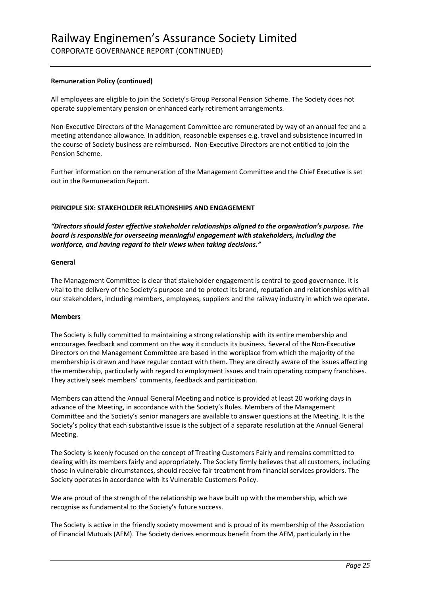#### **Remuneration Policy (continued)**

All employees are eligible to join the Society's Group Personal Pension Scheme. The Society does not operate supplementary pension or enhanced early retirement arrangements.

Non-Executive Directors of the Management Committee are remunerated by way of an annual fee and a meeting attendance allowance. In addition, reasonable expenses e.g. travel and subsistence incurred in the course of Society business are reimbursed. Non-Executive Directors are not entitled to join the Pension Scheme.

Further information on the remuneration of the Management Committee and the Chief Executive is set out in the Remuneration Report.

#### **PRINCIPLE SIX: STAKEHOLDER RELATIONSHIPS AND ENGAGEMENT**

*"Directors should foster effective stakeholder relationships aligned to the organisation's purpose. The board is responsible for overseeing meaningful engagement with stakeholders, including the workforce, and having regard to their views when taking decisions."*

#### **General**

The Management Committee is clear that stakeholder engagement is central to good governance. It is vital to the delivery of the Society's purpose and to protect its brand, reputation and relationships with all our stakeholders, including members, employees, suppliers and the railway industry in which we operate.

#### **Members**

The Society is fully committed to maintaining a strong relationship with its entire membership and encourages feedback and comment on the way it conducts its business. Several of the Non-Executive Directors on the Management Committee are based in the workplace from which the majority of the membership is drawn and have regular contact with them. They are directly aware of the issues affecting the membership, particularly with regard to employment issues and train operating company franchises. They actively seek members' comments, feedback and participation.

Members can attend the Annual General Meeting and notice is provided at least 20 working days in advance of the Meeting, in accordance with the Society's Rules. Members of the Management Committee and the Society's senior managers are available to answer questions at the Meeting. It is the Society's policy that each substantive issue is the subject of a separate resolution at the Annual General Meeting.

The Society is keenly focused on the concept of Treating Customers Fairly and remains committed to dealing with its members fairly and appropriately. The Society firmly believes that all customers, including those in vulnerable circumstances, should receive fair treatment from financial services providers. The Society operates in accordance with its Vulnerable Customers Policy.

We are proud of the strength of the relationship we have built up with the membership, which we recognise as fundamental to the Society's future success.

The Society is active in the friendly society movement and is proud of its membership of the Association of Financial Mutuals (AFM). The Society derives enormous benefit from the AFM, particularly in the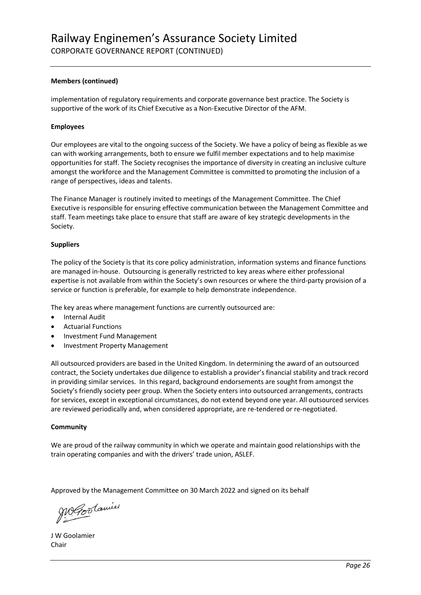#### **Members (continued)**

implementation of regulatory requirements and corporate governance best practice. The Society is supportive of the work of its Chief Executive as a Non-Executive Director of the AFM.

#### **Employees**

Our employees are vital to the ongoing success of the Society. We have a policy of being as flexible as we can with working arrangements, both to ensure we fulfil member expectations and to help maximise opportunities for staff. The Society recognises the importance of diversity in creating an inclusive culture amongst the workforce and the Management Committee is committed to promoting the inclusion of a range of perspectives, ideas and talents.

The Finance Manager is routinely invited to meetings of the Management Committee. The Chief Executive is responsible for ensuring effective communication between the Management Committee and staff. Team meetings take place to ensure that staff are aware of key strategic developments in the Society.

#### **Suppliers**

The policy of the Society is that its core policy administration, information systems and finance functions are managed in-house. Outsourcing is generally restricted to key areas where either professional expertise is not available from within the Society's own resources or where the third-party provision of a service or function is preferable, for example to help demonstrate independence.

The key areas where management functions are currently outsourced are:

- Internal Audit
- Actuarial Functions
- Investment Fund Management
- Investment Property Management

All outsourced providers are based in the United Kingdom. In determining the award of an outsourced contract, the Society undertakes due diligence to establish a provider's financial stability and track record in providing similar services. In this regard, background endorsements are sought from amongst the Society's friendly society peer group. When the Society enters into outsourced arrangements, contracts for services, except in exceptional circumstances, do not extend beyond one year. All outsourced services are reviewed periodically and, when considered appropriate, are re-tendered or re-negotiated.

#### **Community**

We are proud of the railway community in which we operate and maintain good relationships with the train operating companies and with the drivers' trade union, ASLEF.

Approved by the Management Committee on 30 March 2022 and signed on its behalf

Megoolamier

J W Goolamier Chair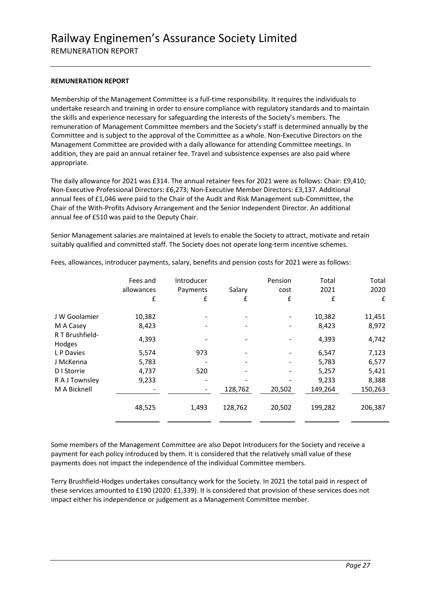#### **REMUNERATION REPORT**

Membership of the Management Committee is a full-time responsibility. It requires the individuals to undertake research and training in order to ensure compliance with regulatory standards and to maintain the skills and experience necessary for safeguarding the interests of the Society's members. The remuneration of Management Committee members and the Society's staff is determined annually by the Committee and is subject to the approval of the Committee as a whole. Non-Executive Directors on the Management Committee are provided with a daily allowance for attending Committee meetings. In addition, they are paid an annual retainer fee. Travel and subsistence expenses are also paid where appropriate.

The daily allowance for 2021 was £314. The annual retainer fees for 2021 were as follows: Chair: £9,410; Non-Executive Professional Directors: £6,273; Non-Executive Member Directors: £3,137. Additional annual fees of £1,046 were paid to the Chair of the Audit and Risk Management sub-Committee, the Chair of the With-Profits Advisory Arrangement and the Senior Independent Director. An additional annual fee of £510 was paid to the Deputy Chair.

Senior Management salaries are maintained at levels to enable the Society to attract, motivate and retain suitably qualified and committed staff. The Society does not operate long-term incentive schemes.

| Fees and<br>allowances<br>£ | Introducer<br>Payments<br>£ | Salary<br>£                  | Pension<br>cost<br>£ | Total<br>2021<br>£ | Total<br>2020<br>£ |
|-----------------------------|-----------------------------|------------------------------|----------------------|--------------------|--------------------|
| 10,382                      |                             |                              |                      | 10,382             | 11,451             |
| 8,423                       |                             |                              |                      | 8,423              | 8,972              |
| 4,393                       |                             |                              |                      | 4,393              | 4,742              |
| 5,574                       | 973                         |                              |                      | 6,547              | 7,123              |
| 5,783                       |                             |                              |                      | 5,783              | 6,577              |
| 4,737                       | 520                         | $\qquad \qquad \blacksquare$ |                      | 5,257              | 5,421              |
| 9,233                       |                             |                              |                      | 9,233              | 8,388              |
|                             |                             | 128,762                      | 20,502               | 149,264            | 150,263            |
| 48,525                      | 1,493                       | 128,762                      | 20,502               | 199,282            | 206,387            |
|                             |                             |                              |                      |                    |                    |

Fees, allowances, introducer payments, salary, benefits and pension costs for 2021 were as follows:

Some members of the Management Committee are also Depot Introducers for the Society and receive a payment for each policy introduced by them. It is considered that the relatively small value of these payments does not impact the independence of the individual Committee members.

Terry Brushfield-Hodges undertakes consultancy work for the Society. In 2021 the total paid in respect of these services amounted to £190 (2020: £1,339). It is considered that provision of these services does not impact either his independence or judgement as a Management Committee member.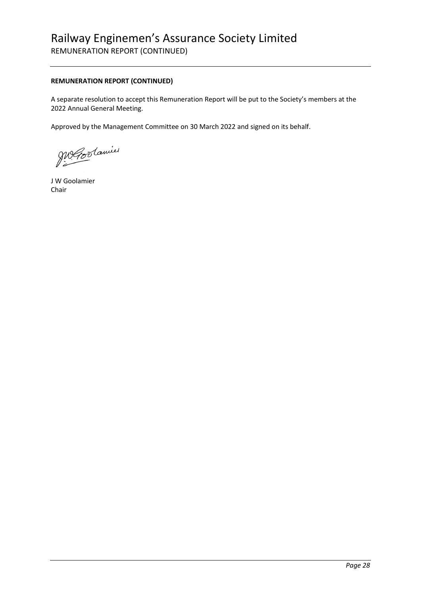### Railway Enginemen's Assurance Society Limited REMUNERATION REPORT (CONTINUED)

#### **REMUNERATION REPORT (CONTINUED)**

A separate resolution to accept this Remuneration Report will be put to the Society's members at the 2022 Annual General Meeting.

Approved by the Management Committee on 30 March 2022 and signed on its behalf.

Me Coolamier

J W Goolamier Chair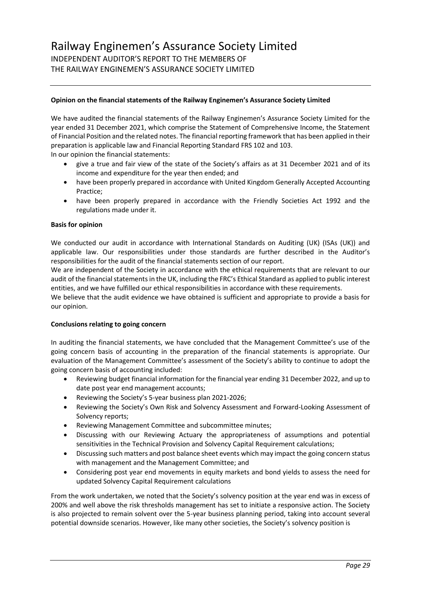#### **Opinion on the financial statements of the Railway Enginemen's Assurance Society Limited**

We have audited the financial statements of the Railway Enginemen's Assurance Society Limited for the year ended 31 December 2021, which comprise the Statement of Comprehensive Income, the Statement of Financial Position and the related notes. The financial reporting framework that has been applied in their preparation is applicable law and Financial Reporting Standard FRS 102 and 103.

In our opinion the financial statements:

- give a true and fair view of the state of the Society's affairs as at 31 December 2021 and of its income and expenditure for the year then ended; and
- have been properly prepared in accordance with United Kingdom Generally Accepted Accounting Practice;
- have been properly prepared in accordance with the Friendly Societies Act 1992 and the regulations made under it.

#### **Basis for opinion**

We conducted our audit in accordance with International Standards on Auditing (UK) (ISAs (UK)) and applicable law. Our responsibilities under those standards are further described in the Auditor's responsibilities for the audit of the financial statements section of our report.

We are independent of the Society in accordance with the ethical requirements that are relevant to our audit of the financial statements in the UK, including the FRC's Ethical Standard as applied to public interest entities, and we have fulfilled our ethical responsibilities in accordance with these requirements.

We believe that the audit evidence we have obtained is sufficient and appropriate to provide a basis for our opinion.

#### **Conclusions relating to going concern**

In auditing the financial statements, we have concluded that the Management Committee's use of the going concern basis of accounting in the preparation of the financial statements is appropriate. Our evaluation of the Management Committee's assessment of the Society's ability to continue to adopt the going concern basis of accounting included:

- Reviewing budget financial information for the financial year ending 31 December 2022, and up to date post year end management accounts;
- Reviewing the Society's 5-year business plan 2021-2026;
- Reviewing the Society's Own Risk and Solvency Assessment and Forward-Looking Assessment of Solvency reports;
- Reviewing Management Committee and subcommittee minutes;
- Discussing with our Reviewing Actuary the appropriateness of assumptions and potential sensitivities in the Technical Provision and Solvency Capital Requirement calculations;
- Discussing such matters and post balance sheet events which may impact the going concern status with management and the Management Committee; and
- Considering post year end movements in equity markets and bond yields to assess the need for updated Solvency Capital Requirement calculations

From the work undertaken, we noted that the Society's solvency position at the year end was in excess of 200% and well above the risk thresholds management has set to initiate a responsive action. The Society is also projected to remain solvent over the 5-year business planning period, taking into account several potential downside scenarios. However, like many other societies, the Society's solvency position is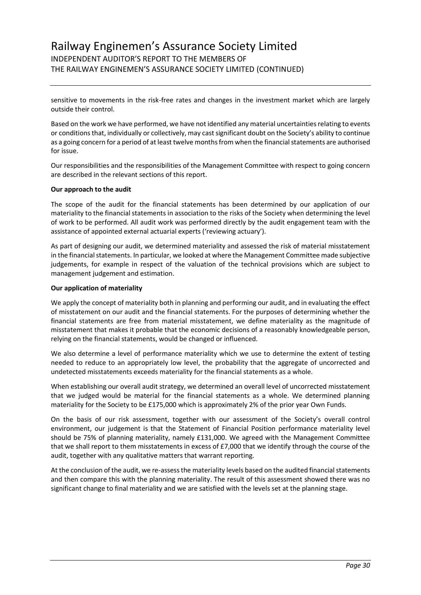### Railway Enginemen's Assurance Society Limited INDEPENDENT AUDITOR'S REPORT TO THE MEMBERS OF THE RAILWAY ENGINEMEN'S ASSURANCE SOCIETY LIMITED (CONTINUED)

sensitive to movements in the risk-free rates and changes in the investment market which are largely outside their control.

Based on the work we have performed, we have not identified any material uncertainties relating to events or conditions that, individually or collectively, may cast significant doubt on the Society's ability to continue as a going concern for a period of at least twelve months from when the financial statements are authorised for issue.

Our responsibilities and the responsibilities of the Management Committee with respect to going concern are described in the relevant sections of this report.

#### **Our approach to the audit**

The scope of the audit for the financial statements has been determined by our application of our materiality to the financial statements in association to the risks of the Society when determining the level of work to be performed. All audit work was performed directly by the audit engagement team with the assistance of appointed external actuarial experts ('reviewing actuary').

As part of designing our audit, we determined materiality and assessed the risk of material misstatement in the financial statements. In particular, we looked at where the Management Committee made subjective judgements, for example in respect of the valuation of the technical provisions which are subject to management judgement and estimation.

#### **Our application of materiality**

We apply the concept of materiality both in planning and performing our audit, and in evaluating the effect of misstatement on our audit and the financial statements. For the purposes of determining whether the financial statements are free from material misstatement, we define materiality as the magnitude of misstatement that makes it probable that the economic decisions of a reasonably knowledgeable person, relying on the financial statements, would be changed or influenced.

We also determine a level of performance materiality which we use to determine the extent of testing needed to reduce to an appropriately low level, the probability that the aggregate of uncorrected and undetected misstatements exceeds materiality for the financial statements as a whole.

When establishing our overall audit strategy, we determined an overall level of uncorrected misstatement that we judged would be material for the financial statements as a whole. We determined planning materiality for the Society to be £175,000 which is approximately 2% of the prior year Own Funds.

On the basis of our risk assessment, together with our assessment of the Society's overall control environment, our judgement is that the Statement of Financial Position performance materiality level should be 75% of planning materiality, namely £131,000. We agreed with the Management Committee that we shall report to them misstatements in excess of £7,000 that we identify through the course of the audit, together with any qualitative matters that warrant reporting.

At the conclusion of the audit, we re-assess the materiality levels based on the audited financial statements and then compare this with the planning materiality. The result of this assessment showed there was no significant change to final materiality and we are satisfied with the levels set at the planning stage.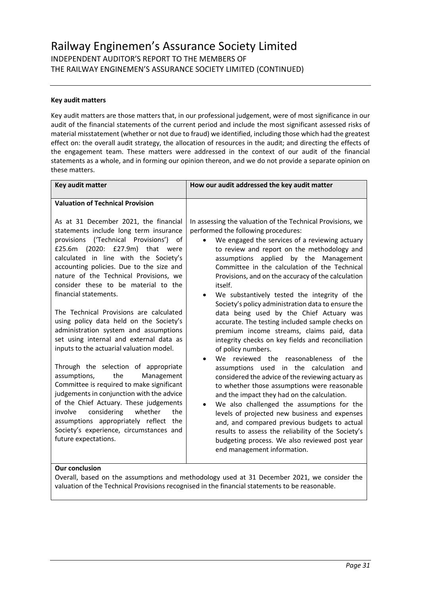#### **Key audit matters**

Key audit matters are those matters that, in our professional judgement, were of most significance in our audit of the financial statements of the current period and include the most significant assessed risks of material misstatement (whether or not due to fraud) we identified, including those which had the greatest effect on: the overall audit strategy, the allocation of resources in the audit; and directing the effects of the engagement team. These matters were addressed in the context of our audit of the financial statements as a whole, and in forming our opinion thereon, and we do not provide a separate opinion on these matters.

| Key audit matter                                                                                                                                                                                                                                                                                                                                                                                                                                                                                                                                                                                                                                                                                                                                                                                           | How our audit addressed the key audit matter                                                                                                                                                                                                                                                                                                                                                                                                                                                                                                                                                                                                                                                                                                                                                                                                                                                                                                                    |
|------------------------------------------------------------------------------------------------------------------------------------------------------------------------------------------------------------------------------------------------------------------------------------------------------------------------------------------------------------------------------------------------------------------------------------------------------------------------------------------------------------------------------------------------------------------------------------------------------------------------------------------------------------------------------------------------------------------------------------------------------------------------------------------------------------|-----------------------------------------------------------------------------------------------------------------------------------------------------------------------------------------------------------------------------------------------------------------------------------------------------------------------------------------------------------------------------------------------------------------------------------------------------------------------------------------------------------------------------------------------------------------------------------------------------------------------------------------------------------------------------------------------------------------------------------------------------------------------------------------------------------------------------------------------------------------------------------------------------------------------------------------------------------------|
| <b>Valuation of Technical Provision</b><br>As at 31 December 2021, the financial<br>statements include long term insurance<br>('Technical Provisions')<br>provisions<br>of<br>£25.6m (2020: £27.9m) that were<br>calculated in line with the Society's<br>accounting policies. Due to the size and<br>nature of the Technical Provisions, we<br>consider these to be material to the<br>financial statements.<br>The Technical Provisions are calculated<br>using policy data held on the Society's<br>administration system and assumptions<br>set using internal and external data as<br>inputs to the actuarial valuation model.<br>Through the selection of appropriate<br>assumptions,<br>the<br>Management<br>Committee is required to make significant<br>judgements in conjunction with the advice | In assessing the valuation of the Technical Provisions, we<br>performed the following procedures:<br>We engaged the services of a reviewing actuary<br>to review and report on the methodology and<br>applied by the Management<br>assumptions<br>Committee in the calculation of the Technical<br>Provisions, and on the accuracy of the calculation<br>itself.<br>We substantively tested the integrity of the<br>$\bullet$<br>Society's policy administration data to ensure the<br>data being used by the Chief Actuary was<br>accurate. The testing included sample checks on<br>premium income streams, claims paid, data<br>integrity checks on key fields and reconciliation<br>of policy numbers.<br>reviewed the reasonableness<br>We.<br>the<br>of<br>assumptions used in the calculation<br>and<br>considered the advice of the reviewing actuary as<br>to whether those assumptions were reasonable<br>and the impact they had on the calculation. |
| of the Chief Actuary. These judgements<br>considering<br>whether<br>involve<br>the                                                                                                                                                                                                                                                                                                                                                                                                                                                                                                                                                                                                                                                                                                                         | We also challenged the assumptions for the<br>$\bullet$<br>levels of projected new business and expenses                                                                                                                                                                                                                                                                                                                                                                                                                                                                                                                                                                                                                                                                                                                                                                                                                                                        |
| assumptions appropriately reflect<br>the<br>Society's experience, circumstances and<br>future expectations.                                                                                                                                                                                                                                                                                                                                                                                                                                                                                                                                                                                                                                                                                                | and, and compared previous budgets to actual<br>results to assess the reliability of the Society's<br>budgeting process. We also reviewed post year<br>end management information.                                                                                                                                                                                                                                                                                                                                                                                                                                                                                                                                                                                                                                                                                                                                                                              |
| Our conclusion                                                                                                                                                                                                                                                                                                                                                                                                                                                                                                                                                                                                                                                                                                                                                                                             |                                                                                                                                                                                                                                                                                                                                                                                                                                                                                                                                                                                                                                                                                                                                                                                                                                                                                                                                                                 |

### **Our conclusion**

Overall, based on the assumptions and methodology used at 31 December 2021, we consider the valuation of the Technical Provisions recognised in the financial statements to be reasonable.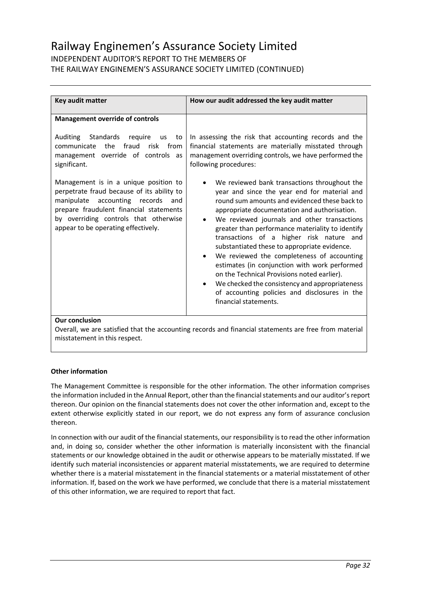### INDEPENDENT AUDITOR'S REPORT TO THE MEMBERS OF THE RAILWAY ENGINEMEN'S ASSURANCE SOCIETY LIMITED (CONTINUED)

| Key audit matter                                                                                                                                                                                                                                          | How our audit addressed the key audit matter                                                                                                                                                                                                                                                                                                                                                                                                                                                                                                                                                                                                                                        |  |  |
|-----------------------------------------------------------------------------------------------------------------------------------------------------------------------------------------------------------------------------------------------------------|-------------------------------------------------------------------------------------------------------------------------------------------------------------------------------------------------------------------------------------------------------------------------------------------------------------------------------------------------------------------------------------------------------------------------------------------------------------------------------------------------------------------------------------------------------------------------------------------------------------------------------------------------------------------------------------|--|--|
|                                                                                                                                                                                                                                                           |                                                                                                                                                                                                                                                                                                                                                                                                                                                                                                                                                                                                                                                                                     |  |  |
| <b>Management override of controls</b>                                                                                                                                                                                                                    |                                                                                                                                                                                                                                                                                                                                                                                                                                                                                                                                                                                                                                                                                     |  |  |
| Auditing Standards<br>reguire<br>us<br>to<br>fraud<br>the<br>risk from<br>communicate<br>management override of controls as<br>significant.                                                                                                               | In assessing the risk that accounting records and the<br>financial statements are materially misstated through<br>management overriding controls, we have performed the<br>following procedures:                                                                                                                                                                                                                                                                                                                                                                                                                                                                                    |  |  |
| Management is in a unique position to<br>perpetrate fraud because of its ability to<br>manipulate<br>accounting records<br>and<br>prepare fraudulent financial statements<br>by overriding controls that otherwise<br>appear to be operating effectively. | We reviewed bank transactions throughout the<br>year and since the year end for material and<br>round sum amounts and evidenced these back to<br>appropriate documentation and authorisation.<br>We reviewed journals and other transactions<br>$\bullet$<br>greater than performance materiality to identify<br>transactions of a higher risk nature and<br>substantiated these to appropriate evidence.<br>We reviewed the completeness of accounting<br>estimates (in conjunction with work performed<br>on the Technical Provisions noted earlier).<br>We checked the consistency and appropriateness<br>of accounting policies and disclosures in the<br>financial statements. |  |  |
|                                                                                                                                                                                                                                                           |                                                                                                                                                                                                                                                                                                                                                                                                                                                                                                                                                                                                                                                                                     |  |  |

#### **Our conclusion**

Overall, we are satisfied that the accounting records and financial statements are free from material misstatement in this respect.

#### **Other information**

The Management Committee is responsible for the other information. The other information comprises the information included in the Annual Report, other than the financial statements and our auditor's report thereon. Our opinion on the financial statements does not cover the other information and, except to the extent otherwise explicitly stated in our report, we do not express any form of assurance conclusion thereon.

In connection with our audit of the financial statements, our responsibility is to read the other information and, in doing so, consider whether the other information is materially inconsistent with the financial statements or our knowledge obtained in the audit or otherwise appears to be materially misstated. If we identify such material inconsistencies or apparent material misstatements, we are required to determine whether there is a material misstatement in the financial statements or a material misstatement of other information. If, based on the work we have performed, we conclude that there is a material misstatement of this other information, we are required to report that fact.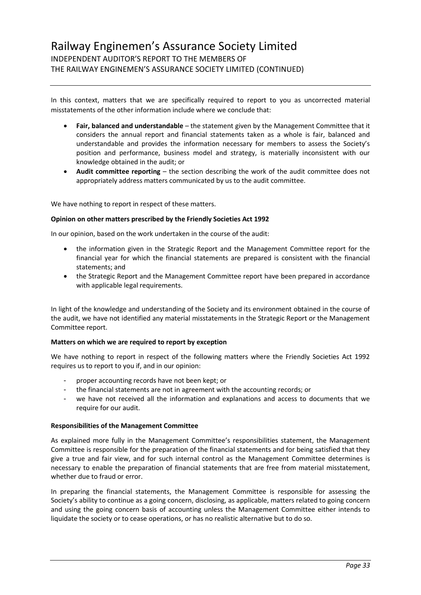In this context, matters that we are specifically required to report to you as uncorrected material misstatements of the other information include where we conclude that:

- **Fair, balanced and understandable** the statement given by the Management Committee that it considers the annual report and financial statements taken as a whole is fair, balanced and understandable and provides the information necessary for members to assess the Society's position and performance, business model and strategy, is materially inconsistent with our knowledge obtained in the audit; or
- **Audit committee reporting** the section describing the work of the audit committee does not appropriately address matters communicated by us to the audit committee.

We have nothing to report in respect of these matters.

#### **Opinion on other matters prescribed by the Friendly Societies Act 1992**

In our opinion, based on the work undertaken in the course of the audit:

- the information given in the Strategic Report and the Management Committee report for the financial year for which the financial statements are prepared is consistent with the financial statements; and
- the Strategic Report and the Management Committee report have been prepared in accordance with applicable legal requirements.

In light of the knowledge and understanding of the Society and its environment obtained in the course of the audit, we have not identified any material misstatements in the Strategic Report or the Management Committee report.

#### **Matters on which we are required to report by exception**

We have nothing to report in respect of the following matters where the Friendly Societies Act 1992 requires us to report to you if, and in our opinion:

- proper accounting records have not been kept; or
- the financial statements are not in agreement with the accounting records; or
- we have not received all the information and explanations and access to documents that we require for our audit.

#### **Responsibilities of the Management Committee**

As explained more fully in the Management Committee's responsibilities statement, the Management Committee is responsible for the preparation of the financial statements and for being satisfied that they give a true and fair view, and for such internal control as the Management Committee determines is necessary to enable the preparation of financial statements that are free from material misstatement, whether due to fraud or error.

In preparing the financial statements, the Management Committee is responsible for assessing the Society's ability to continue as a going concern, disclosing, as applicable, matters related to going concern and using the going concern basis of accounting unless the Management Committee either intends to liquidate the society or to cease operations, or has no realistic alternative but to do so.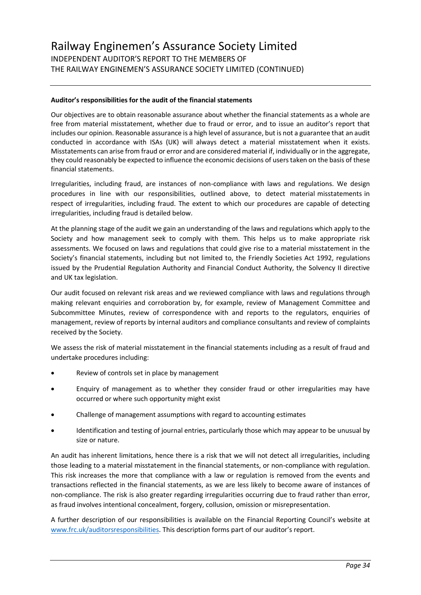#### **Auditor's responsibilities for the audit of the financial statements**

Our objectives are to obtain reasonable assurance about whether the financial statements as a whole are free from material misstatement, whether due to fraud or error, and to issue an auditor's report that includes our opinion. Reasonable assurance is a high level of assurance, but is not a guarantee that an audit conducted in accordance with ISAs (UK) will always detect a material misstatement when it exists. Misstatements can arise from fraud or error and are considered material if, individually or in the aggregate, they could reasonably be expected to influence the economic decisions of users taken on the basis of these financial statements.

Irregularities, including fraud, are instances of non-compliance with laws and regulations. We design procedures in line with our responsibilities, outlined above, to detect material misstatements in respect of irregularities, including fraud. The extent to which our procedures are capable of detecting irregularities, including fraud is detailed below.

At the planning stage of the audit we gain an understanding of the laws and regulations which apply to the Society and how management seek to comply with them. This helps us to make appropriate risk assessments. We focused on laws and regulations that could give rise to a material misstatement in the Society's financial statements, including but not limited to, the Friendly Societies Act 1992, regulations issued by the Prudential Regulation Authority and Financial Conduct Authority, the Solvency II directive and UK tax legislation.

Our audit focused on relevant risk areas and we reviewed compliance with laws and regulations through making relevant enquiries and corroboration by, for example, review of Management Committee and Subcommittee Minutes, review of correspondence with and reports to the regulators, enquiries of management, review of reports by internal auditors and compliance consultants and review of complaints received by the Society.

We assess the risk of material misstatement in the financial statements including as a result of fraud and undertake procedures including:

- Review of controls set in place by management
- Enquiry of management as to whether they consider fraud or other irregularities may have occurred or where such opportunity might exist
- Challenge of management assumptions with regard to accounting estimates
- Identification and testing of journal entries, particularly those which may appear to be unusual by size or nature.

An audit has inherent limitations, hence there is a risk that we will not detect all irregularities, including those leading to a material misstatement in the financial statements, or non-compliance with regulation. This risk increases the more that compliance with a law or regulation is removed from the events and transactions reflected in the financial statements, as we are less likely to become aware of instances of non-compliance. The risk is also greater regarding irregularities occurring due to fraud rather than error, as fraud involves intentional concealment, forgery, collusion, omission or misrepresentation.

A further description of our responsibilities is available on the Financial Reporting Council's website at [www.frc.uk/auditorsresponsibilities](http://www.frc.uk/auditorsresponsibilities). This description forms part of our auditor's report.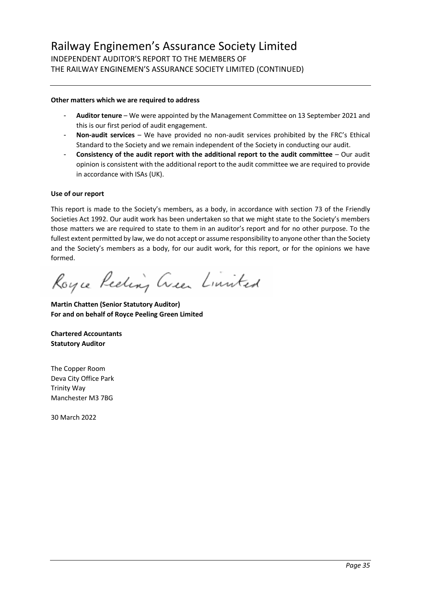#### **Other matters which we are required to address**

- **Auditor tenure** We were appointed by the Management Committee on 13 September 2021 and this is our first period of audit engagement.
- **Non-audit services** We have provided no non-audit services prohibited by the FRC's Ethical Standard to the Society and we remain independent of the Society in conducting our audit.
- **Consistency of the audit report with the additional report to the audit committee** Our audit opinion is consistent with the additional report to the audit committee we are required to provide in accordance with ISAs (UK).

#### **Use of our report**

This report is made to the Society's members, as a body, in accordance with section 73 of the Friendly Societies Act 1992. Our audit work has been undertaken so that we might state to the Society's members those matters we are required to state to them in an auditor's report and for no other purpose. To the fullest extent permitted by law, we do not accept or assume responsibility to anyone other than the Society and the Society's members as a body, for our audit work, for this report, or for the opinions we have formed.

Royce Reeling Creen Limited

**Martin Chatten (Senior Statutory Auditor) For and on behalf of Royce Peeling Green Limited**

**Chartered Accountants Statutory Auditor**

The Copper Room Deva City Office Park Trinity Way Manchester M3 7BG

30 March 2022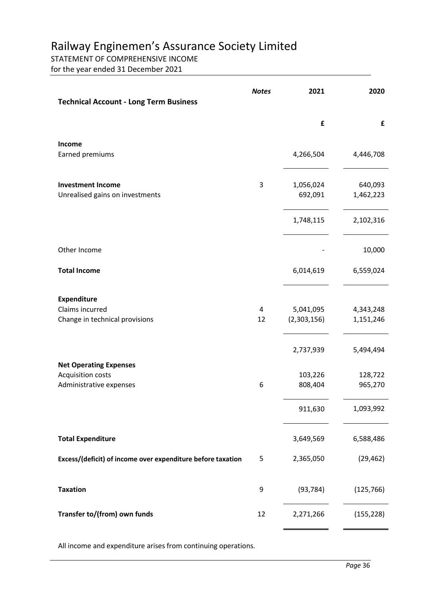### STATEMENT OF COMPREHENSIVE INCOME

for the year ended 31 December 2021

| <b>Technical Account - Long Term Business</b>                                        | <b>Notes</b> | 2021                     | 2020                   |
|--------------------------------------------------------------------------------------|--------------|--------------------------|------------------------|
|                                                                                      |              | £                        | £                      |
| Income<br>Earned premiums                                                            |              | 4,266,504                | 4,446,708              |
| <b>Investment Income</b><br>Unrealised gains on investments                          | 3            | 1,056,024<br>692,091     | 640,093<br>1,462,223   |
|                                                                                      |              | 1,748,115                | 2,102,316              |
| Other Income                                                                         |              |                          | 10,000                 |
| <b>Total Income</b>                                                                  |              | 6,014,619                | 6,559,024              |
| <b>Expenditure</b><br>Claims incurred<br>Change in technical provisions              | 4<br>12      | 5,041,095<br>(2,303,156) | 4,343,248<br>1,151,246 |
|                                                                                      |              | 2,737,939                | 5,494,494              |
| <b>Net Operating Expenses</b><br><b>Acquisition costs</b><br>Administrative expenses | 6            | 103,226<br>808,404       | 128,722<br>965,270     |
|                                                                                      |              | 911,630                  | 1,093,992              |
| <b>Total Expenditure</b>                                                             |              | 3,649,569                | 6,588,486              |
| Excess/(deficit) of income over expenditure before taxation                          | 5            | 2,365,050                | (29, 462)              |
| <b>Taxation</b>                                                                      | 9            | (93, 784)                | (125, 766)             |
| Transfer to/(from) own funds                                                         | 12           | 2,271,266                | (155, 228)             |

All income and expenditure arises from continuing operations.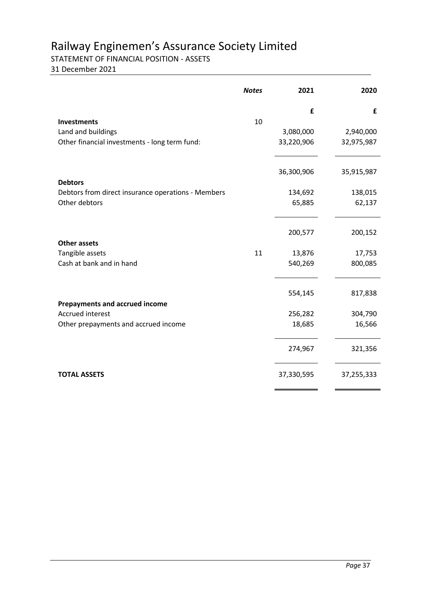STATEMENT OF FINANCIAL POSITION - ASSETS

31 December 2021

|                                                    | <b>Notes</b> | 2021       | 2020       |
|----------------------------------------------------|--------------|------------|------------|
|                                                    |              | £          | £          |
| <b>Investments</b>                                 | 10           |            |            |
| Land and buildings                                 |              | 3,080,000  | 2,940,000  |
| Other financial investments - long term fund:      |              | 33,220,906 | 32,975,987 |
|                                                    |              | 36,300,906 | 35,915,987 |
| <b>Debtors</b>                                     |              |            |            |
| Debtors from direct insurance operations - Members |              | 134,692    | 138,015    |
| Other debtors                                      |              | 65,885     | 62,137     |
|                                                    |              |            |            |
|                                                    |              | 200,577    | 200,152    |
| <b>Other assets</b>                                |              |            |            |
| Tangible assets                                    | 11           | 13,876     | 17,753     |
| Cash at bank and in hand                           |              | 540,269    | 800,085    |
|                                                    |              |            |            |
|                                                    |              | 554,145    | 817,838    |
| <b>Prepayments and accrued income</b>              |              |            |            |
| <b>Accrued interest</b>                            |              | 256,282    | 304,790    |
| Other prepayments and accrued income               |              | 18,685     | 16,566     |
|                                                    |              | 274,967    | 321,356    |
| <b>TOTAL ASSETS</b>                                |              | 37,330,595 | 37,255,333 |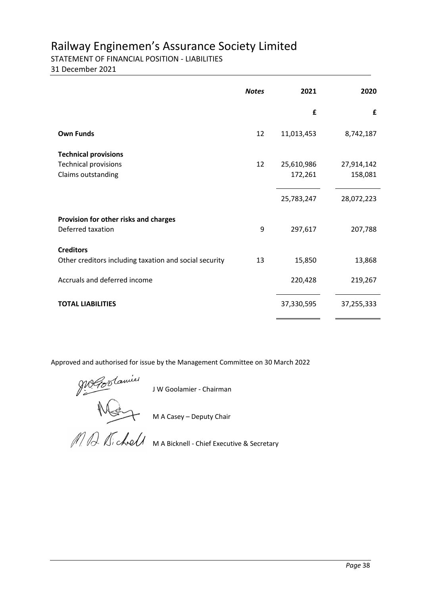### STATEMENT OF FINANCIAL POSITION - LIABILITIES

31 December 2021

|                                                                                  | <b>Notes</b> | 2021                  | 2020                  |
|----------------------------------------------------------------------------------|--------------|-----------------------|-----------------------|
|                                                                                  |              | £                     | £                     |
| <b>Own Funds</b>                                                                 | 12           | 11,013,453            | 8,742,187             |
| <b>Technical provisions</b><br><b>Technical provisions</b><br>Claims outstanding | 12           | 25,610,986<br>172,261 | 27,914,142<br>158,081 |
|                                                                                  |              | 25,783,247            | 28,072,223            |
| Provision for other risks and charges<br>Deferred taxation                       | 9            | 297,617               | 207,788               |
| <b>Creditors</b><br>Other creditors including taxation and social security       | 13           | 15,850                | 13,868                |
| Accruals and deferred income                                                     |              | 220,428               | 219,267               |
| <b>TOTAL LIABILITIES</b>                                                         |              | 37,330,595            | 37,255,333            |

Approved and authorised for issue by the Management Committee on 30 March 2022

J W Goolamier - Chairman

M A Casey – Deputy Chair

M A Bicknell - Chief Executive & Secretary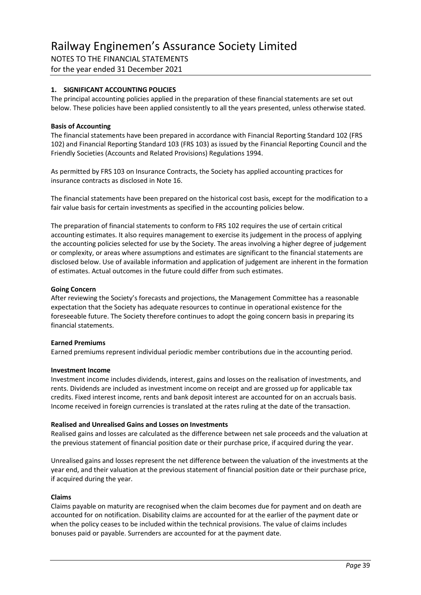NOTES TO THE FINANCIAL STATEMENTS for the year ended 31 December 2021

#### **1. SIGNIFICANT ACCOUNTING POLICIES**

The principal accounting policies applied in the preparation of these financial statements are set out below. These policies have been applied consistently to all the years presented, unless otherwise stated.

#### **Basis of Accounting**

The financial statements have been prepared in accordance with Financial Reporting Standard 102 (FRS 102) and Financial Reporting Standard 103 (FRS 103) as issued by the Financial Reporting Council and the Friendly Societies (Accounts and Related Provisions) Regulations 1994.

As permitted by FRS 103 on Insurance Contracts, the Society has applied accounting practices for insurance contracts as disclosed in Note 16.

The financial statements have been prepared on the historical cost basis, except for the modification to a fair value basis for certain investments as specified in the accounting policies below.

The preparation of financial statements to conform to FRS 102 requires the use of certain critical accounting estimates. It also requires management to exercise its judgement in the process of applying the accounting policies selected for use by the Society. The areas involving a higher degree of judgement or complexity, or areas where assumptions and estimates are significant to the financial statements are disclosed below. Use of available information and application of judgement are inherent in the formation of estimates. Actual outcomes in the future could differ from such estimates.

#### **Going Concern**

After reviewing the Society's forecasts and projections, the Management Committee has a reasonable expectation that the Society has adequate resources to continue in operational existence for the foreseeable future. The Society therefore continues to adopt the going concern basis in preparing its financial statements.

#### **Earned Premiums**

Earned premiums represent individual periodic member contributions due in the accounting period.

#### **Investment Income**

Investment income includes dividends, interest, gains and losses on the realisation of investments, and rents. Dividends are included as investment income on receipt and are grossed up for applicable tax credits. Fixed interest income, rents and bank deposit interest are accounted for on an accruals basis. Income received in foreign currencies is translated at the rates ruling at the date of the transaction.

#### **Realised and Unrealised Gains and Losses on Investments**

Realised gains and losses are calculated as the difference between net sale proceeds and the valuation at the previous statement of financial position date or their purchase price, if acquired during the year.

Unrealised gains and losses represent the net difference between the valuation of the investments at the year end, and their valuation at the previous statement of financial position date or their purchase price, if acquired during the year.

#### **Claims**

Claims payable on maturity are recognised when the claim becomes due for payment and on death are accounted for on notification. Disability claims are accounted for at the earlier of the payment date or when the policy ceases to be included within the technical provisions. The value of claims includes bonuses paid or payable. Surrenders are accounted for at the payment date.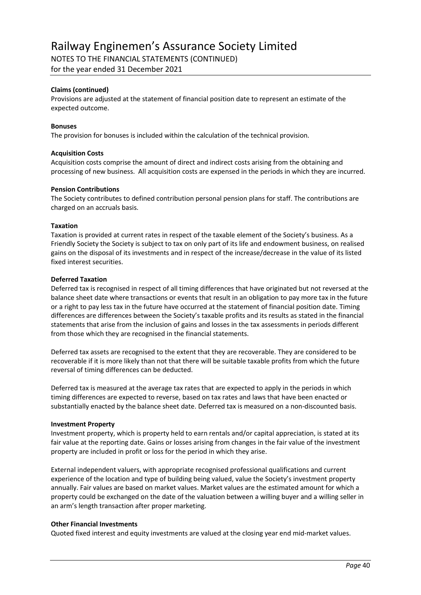NOTES TO THE FINANCIAL STATEMENTS (CONTINUED)

for the year ended 31 December 2021

#### **Claims (continued)**

Provisions are adjusted at the statement of financial position date to represent an estimate of the expected outcome.

#### **Bonuses**

The provision for bonuses is included within the calculation of the technical provision.

#### **Acquisition Costs**

Acquisition costs comprise the amount of direct and indirect costs arising from the obtaining and processing of new business. All acquisition costs are expensed in the periods in which they are incurred.

#### **Pension Contributions**

The Society contributes to defined contribution personal pension plans for staff. The contributions are charged on an accruals basis.

#### **Taxation**

Taxation is provided at current rates in respect of the taxable element of the Society's business. As a Friendly Society the Society is subject to tax on only part of its life and endowment business, on realised gains on the disposal of its investments and in respect of the increase/decrease in the value of its listed fixed interest securities.

#### **Deferred Taxation**

Deferred tax is recognised in respect of all timing differences that have originated but not reversed at the balance sheet date where transactions or events that result in an obligation to pay more tax in the future or a right to pay less tax in the future have occurred at the statement of financial position date. Timing differences are differences between the Society's taxable profits and its results as stated in the financial statements that arise from the inclusion of gains and losses in the tax assessments in periods different from those which they are recognised in the financial statements.

Deferred tax assets are recognised to the extent that they are recoverable. They are considered to be recoverable if it is more likely than not that there will be suitable taxable profits from which the future reversal of timing differences can be deducted.

Deferred tax is measured at the average tax rates that are expected to apply in the periods in which timing differences are expected to reverse, based on tax rates and laws that have been enacted or substantially enacted by the balance sheet date. Deferred tax is measured on a non-discounted basis.

#### **Investment Property**

Investment property, which is property held to earn rentals and/or capital appreciation, is stated at its fair value at the reporting date. Gains or losses arising from changes in the fair value of the investment property are included in profit or loss for the period in which they arise.

External independent valuers, with appropriate recognised professional qualifications and current experience of the location and type of building being valued, value the Society's investment property annually. Fair values are based on market values. Market values are the estimated amount for which a property could be exchanged on the date of the valuation between a willing buyer and a willing seller in an arm's length transaction after proper marketing.

#### **Other Financial Investments**

Quoted fixed interest and equity investments are valued at the closing year end mid-market values.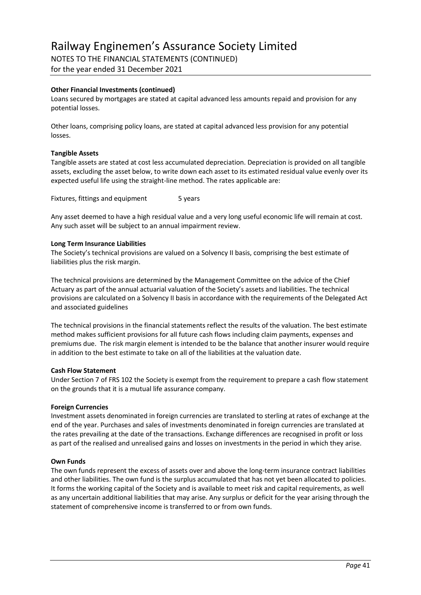NOTES TO THE FINANCIAL STATEMENTS (CONTINUED)

for the year ended 31 December 2021

#### **Other Financial Investments (continued)**

Loans secured by mortgages are stated at capital advanced less amounts repaid and provision for any potential losses.

Other loans, comprising policy loans, are stated at capital advanced less provision for any potential losses.

#### **Tangible Assets**

Tangible assets are stated at cost less accumulated depreciation. Depreciation is provided on all tangible assets, excluding the asset below, to write down each asset to its estimated residual value evenly over its expected useful life using the straight-line method. The rates applicable are:

Fixtures, fittings and equipment 5 years

Any asset deemed to have a high residual value and a very long useful economic life will remain at cost. Any such asset will be subject to an annual impairment review.

#### **Long Term Insurance Liabilities**

The Society's technical provisions are valued on a Solvency II basis, comprising the best estimate of liabilities plus the risk margin.

The technical provisions are determined by the Management Committee on the advice of the Chief Actuary as part of the annual actuarial valuation of the Society's assets and liabilities. The technical provisions are calculated on a Solvency II basis in accordance with the requirements of the Delegated Act and associated guidelines

The technical provisions in the financial statements reflect the results of the valuation. The best estimate method makes sufficient provisions for all future cash flows including claim payments, expenses and premiums due. The risk margin element is intended to be the balance that another insurer would require in addition to the best estimate to take on all of the liabilities at the valuation date.

#### **Cash Flow Statement**

Under Section 7 of FRS 102 the Society is exempt from the requirement to prepare a cash flow statement on the grounds that it is a mutual life assurance company.

#### **Foreign Currencies**

Investment assets denominated in foreign currencies are translated to sterling at rates of exchange at the end of the year. Purchases and sales of investments denominated in foreign currencies are translated at the rates prevailing at the date of the transactions. Exchange differences are recognised in profit or loss as part of the realised and unrealised gains and losses on investments in the period in which they arise.

#### **Own Funds**

The own funds represent the excess of assets over and above the long-term insurance contract liabilities and other liabilities. The own fund is the surplus accumulated that has not yet been allocated to policies. It forms the working capital of the Society and is available to meet risk and capital requirements, as well as any uncertain additional liabilities that may arise. Any surplus or deficit for the year arising through the statement of comprehensive income is transferred to or from own funds.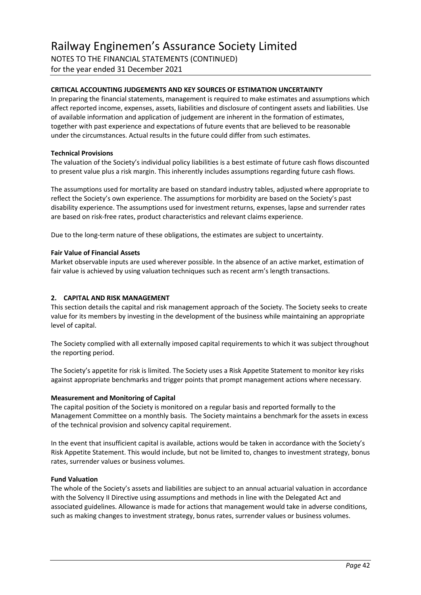for the year ended 31 December 2021

#### **CRITICAL ACCOUNTING JUDGEMENTS AND KEY SOURCES OF ESTIMATION UNCERTAINTY**

In preparing the financial statements, management is required to make estimates and assumptions which affect reported income, expenses, assets, liabilities and disclosure of contingent assets and liabilities. Use of available information and application of judgement are inherent in the formation of estimates, together with past experience and expectations of future events that are believed to be reasonable under the circumstances. Actual results in the future could differ from such estimates.

#### **Technical Provisions**

The valuation of the Society's individual policy liabilities is a best estimate of future cash flows discounted to present value plus a risk margin. This inherently includes assumptions regarding future cash flows.

The assumptions used for mortality are based on standard industry tables, adjusted where appropriate to reflect the Society's own experience. The assumptions for morbidity are based on the Society's past disability experience. The assumptions used for investment returns, expenses, lapse and surrender rates are based on risk-free rates, product characteristics and relevant claims experience.

Due to the long-term nature of these obligations, the estimates are subject to uncertainty.

#### **Fair Value of Financial Assets**

Market observable inputs are used wherever possible. In the absence of an active market, estimation of fair value is achieved by using valuation techniques such as recent arm's length transactions.

#### **2. CAPITAL AND RISK MANAGEMENT**

This section details the capital and risk management approach of the Society. The Society seeks to create value for its members by investing in the development of the business while maintaining an appropriate level of capital.

The Society complied with all externally imposed capital requirements to which it was subject throughout the reporting period.

The Society's appetite for risk is limited. The Society uses a Risk Appetite Statement to monitor key risks against appropriate benchmarks and trigger points that prompt management actions where necessary.

#### **Measurement and Monitoring of Capital**

The capital position of the Society is monitored on a regular basis and reported formally to the Management Committee on a monthly basis. The Society maintains a benchmark for the assets in excess of the technical provision and solvency capital requirement.

In the event that insufficient capital is available, actions would be taken in accordance with the Society's Risk Appetite Statement. This would include, but not be limited to, changes to investment strategy, bonus rates, surrender values or business volumes.

#### **Fund Valuation**

The whole of the Society's assets and liabilities are subject to an annual actuarial valuation in accordance with the Solvency II Directive using assumptions and methods in line with the Delegated Act and associated guidelines. Allowance is made for actions that management would take in adverse conditions, such as making changes to investment strategy, bonus rates, surrender values or business volumes.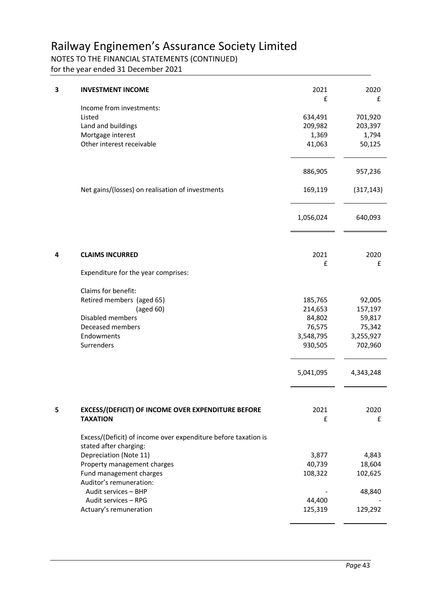### NOTES TO THE FINANCIAL STATEMENTS (CONTINUED)

for the year ended 31 December 2021

| 3 | <b>INVESTMENT INCOME</b>                                                                                                                                                              | 2021<br>£                                                      | 2020<br>£                                                     |
|---|---------------------------------------------------------------------------------------------------------------------------------------------------------------------------------------|----------------------------------------------------------------|---------------------------------------------------------------|
|   | Income from investments:<br>Listed<br>Land and buildings<br>Mortgage interest<br>Other interest receivable                                                                            | 634,491<br>209,982<br>1,369<br>41,063                          | 701,920<br>203,397<br>1,794<br>50,125                         |
|   |                                                                                                                                                                                       | 886,905                                                        | 957,236                                                       |
|   | Net gains/(losses) on realisation of investments                                                                                                                                      | 169,119                                                        | (317, 143)                                                    |
|   |                                                                                                                                                                                       | 1,056,024                                                      | 640,093                                                       |
| 4 | <b>CLAIMS INCURRED</b>                                                                                                                                                                | 2021<br>£                                                      | 2020<br>£                                                     |
|   | Expenditure for the year comprises:                                                                                                                                                   |                                                                |                                                               |
|   | Claims for benefit:<br>Retired members (aged 65)<br>(aged 60)<br>Disabled members<br>Deceased members<br>Endowments<br>Surrenders                                                     | 185,765<br>214,653<br>84,802<br>76,575<br>3,548,795<br>930,505 | 92,005<br>157,197<br>59,817<br>75,342<br>3,255,927<br>702,960 |
|   |                                                                                                                                                                                       | 5,041,095                                                      | 4,343,248                                                     |
| 5 | EXCESS/(DEFICIT) OF INCOME OVER EXPENDITURE BEFORE<br><b>TAXATION</b><br>Excess/(Deficit) of income over expenditure before taxation is<br>stated after charging:                     | 2021<br>£                                                      | 2020<br>£                                                     |
|   | Depreciation (Note 11)<br>Property management charges<br>Fund management charges<br>Auditor's remuneration:<br>Audit services - BHP<br>Audit services - RPG<br>Actuary's remuneration | 3,877<br>40,739<br>108,322<br>44,400<br>125,319                | 4,843<br>18,604<br>102,625<br>48,840<br>129,292               |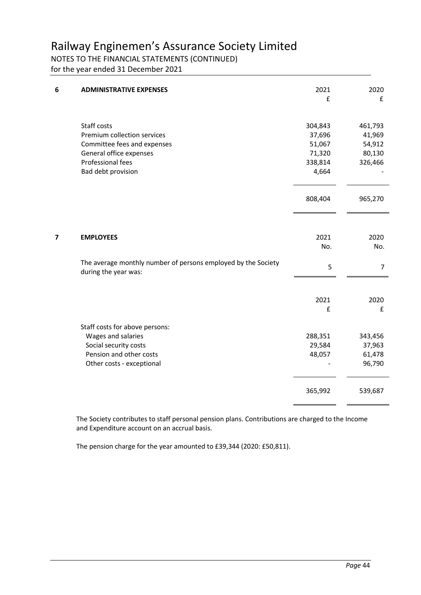### NOTES TO THE FINANCIAL STATEMENTS (CONTINUED)

for the year ended 31 December 2021

| 6              | <b>ADMINISTRATIVE EXPENSES</b>                                                                                                                  | 2021<br>£                                                 | 2020<br>£                                        |
|----------------|-------------------------------------------------------------------------------------------------------------------------------------------------|-----------------------------------------------------------|--------------------------------------------------|
|                | Staff costs<br>Premium collection services<br>Committee fees and expenses<br>General office expenses<br>Professional fees<br>Bad debt provision | 304,843<br>37,696<br>51,067<br>71,320<br>338,814<br>4,664 | 461,793<br>41,969<br>54,912<br>80,130<br>326,466 |
|                |                                                                                                                                                 | 808,404                                                   | 965,270                                          |
| $\overline{7}$ | <b>EMPLOYEES</b>                                                                                                                                | 2021<br>No.                                               | 2020<br>No.                                      |
|                | The average monthly number of persons employed by the Society<br>during the year was:                                                           | 5                                                         | 7                                                |
|                |                                                                                                                                                 | 2021<br>£                                                 | 2020<br>£                                        |
|                | Staff costs for above persons:<br>Wages and salaries<br>Social security costs<br>Pension and other costs<br>Other costs - exceptional           | 288,351<br>29,584<br>48,057                               | 343,456<br>37,963<br>61,478<br>96,790            |
|                |                                                                                                                                                 | 365,992                                                   | 539,687                                          |

The Society contributes to staff personal pension plans. Contributions are charged to the Income and Expenditure account on an accrual basis.

The pension charge for the year amounted to £39,344 (2020: £50,811).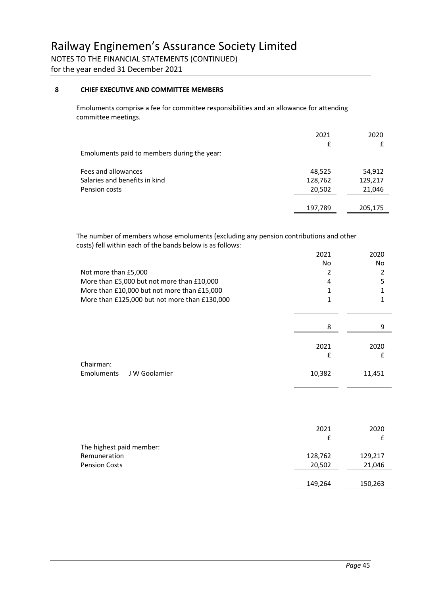for the year ended 31 December 2021

#### **8 CHIEF EXECUTIVE AND COMMITTEE MEMBERS**

Emoluments comprise a fee for committee responsibilities and an allowance for attending committee meetings.

|                                             | 2021    | 2020    |
|---------------------------------------------|---------|---------|
|                                             | £       |         |
| Emoluments paid to members during the year: |         |         |
|                                             |         |         |
| Fees and allowances                         | 48,525  | 54,912  |
| Salaries and benefits in kind               | 128,762 | 129,217 |
| Pension costs                               | 20,502  | 21,046  |
|                                             |         |         |
|                                             | 197,789 | 205,175 |

The number of members whose emoluments (excluding any pension contributions and other costs) fell within each of the bands below is as follows:

| Not more than £5,000<br>More than £5,000 but not more than £10,000<br>More than £10,000 but not more than £15,000<br>More than £125,000 but not more than £130,000 | 2021<br>No.<br>2<br>4<br>1<br>1 | 2020<br><b>No</b><br>2<br>5<br>1<br>$\mathbf{1}$ |
|--------------------------------------------------------------------------------------------------------------------------------------------------------------------|---------------------------------|--------------------------------------------------|
|                                                                                                                                                                    | 8                               | 9                                                |
| Chairman:                                                                                                                                                          | 2021<br>£                       | 2020<br>£                                        |
| Emoluments<br>J W Goolamier                                                                                                                                        | 10,382                          | 11,451                                           |
|                                                                                                                                                                    |                                 |                                                  |
| The highest paid member:                                                                                                                                           | 2021<br>£                       | 2020<br>£                                        |
| Remuneration                                                                                                                                                       | 128,762                         | 129,217                                          |
| <b>Pension Costs</b>                                                                                                                                               | 20,502                          | 21,046                                           |
|                                                                                                                                                                    | 149,264                         | 150,263                                          |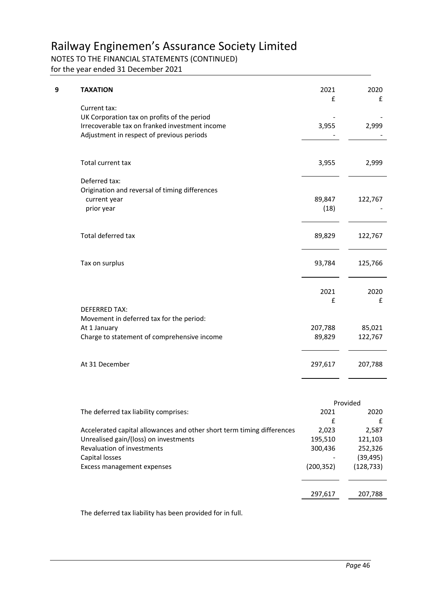### NOTES TO THE FINANCIAL STATEMENTS (CONTINUED)

for the year ended 31 December 2021

| 9 | <b>TAXATION</b>                                                                                                                                            | 2021<br>£         | 2020<br>£         |
|---|------------------------------------------------------------------------------------------------------------------------------------------------------------|-------------------|-------------------|
|   | Current tax:<br>UK Corporation tax on profits of the period<br>Irrecoverable tax on franked investment income<br>Adjustment in respect of previous periods | 3,955             | 2,999             |
|   | Total current tax                                                                                                                                          | 3,955             | 2,999             |
|   | Deferred tax:<br>Origination and reversal of timing differences<br>current year<br>prior year                                                              | 89,847<br>(18)    | 122,767           |
|   | Total deferred tax                                                                                                                                         | 89,829            | 122,767           |
|   | Tax on surplus                                                                                                                                             | 93,784            | 125,766           |
|   | <b>DEFERRED TAX:</b>                                                                                                                                       | 2021<br>£         | 2020<br>£         |
|   | Movement in deferred tax for the period:<br>At 1 January<br>Charge to statement of comprehensive income                                                    | 207,788<br>89,829 | 85,021<br>122,767 |
|   | At 31 December                                                                                                                                             | 297,617           | 207,788           |
|   |                                                                                                                                                            |                   | Provided          |

|                                                                        |            | ,,,,,,,,,  |
|------------------------------------------------------------------------|------------|------------|
| The deferred tax liability comprises:                                  | 2021       | 2020       |
|                                                                        | £          |            |
| Accelerated capital allowances and other short term timing differences | 2,023      | 2,587      |
| Unrealised gain/(loss) on investments                                  | 195,510    | 121,103    |
| Revaluation of investments                                             | 300,436    | 252,326    |
| Capital losses                                                         |            | (39, 495)  |
| Excess management expenses                                             | (200, 352) | (128, 733) |
|                                                                        |            |            |
|                                                                        |            |            |
|                                                                        | 297,617    | 207,788    |
|                                                                        |            |            |

The deferred tax liability has been provided for in full.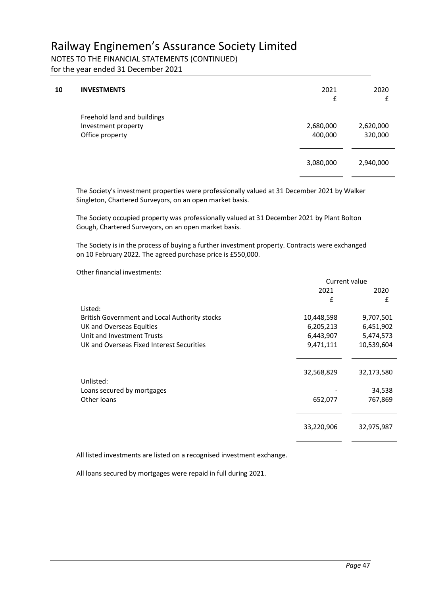NOTES TO THE FINANCIAL STATEMENTS (CONTINUED)

for the year ended 31 December 2021

| 10 | <b>INVESTMENTS</b>                                                    | 2021<br>£            | 2020<br>£            |
|----|-----------------------------------------------------------------------|----------------------|----------------------|
|    | Freehold land and buildings<br>Investment property<br>Office property | 2,680,000<br>400,000 | 2,620,000<br>320,000 |
|    |                                                                       | 3,080,000            | 2,940,000            |

The Society's investment properties were professionally valued at 31 December 2021 by Walker Singleton, Chartered Surveyors, on an open market basis.

The Society occupied property was professionally valued at 31 December 2021 by Plant Bolton Gough, Chartered Surveyors, on an open market basis.

The Society is in the process of buying a further investment property. Contracts were exchanged on 10 February 2022. The agreed purchase price is £550,000.

Other financial investments:

|                                               | Current value |            |
|-----------------------------------------------|---------------|------------|
|                                               | 2021          | 2020       |
|                                               | £             | £          |
| Listed:                                       |               |            |
| British Government and Local Authority stocks | 10,448,598    | 9,707,501  |
| UK and Overseas Equities                      | 6,205,213     | 6,451,902  |
| Unit and Investment Trusts                    | 6,443,907     | 5,474,573  |
| UK and Overseas Fixed Interest Securities     | 9,471,111     | 10,539,604 |
|                                               |               |            |
|                                               |               |            |
|                                               | 32,568,829    | 32,173,580 |
| Unlisted:                                     |               |            |
| Loans secured by mortgages                    |               | 34,538     |
| Other loans                                   | 652,077       | 767,869    |
|                                               |               |            |
|                                               |               |            |
|                                               | 33,220,906    | 32,975,987 |
|                                               |               |            |

All listed investments are listed on a recognised investment exchange.

All loans secured by mortgages were repaid in full during 2021.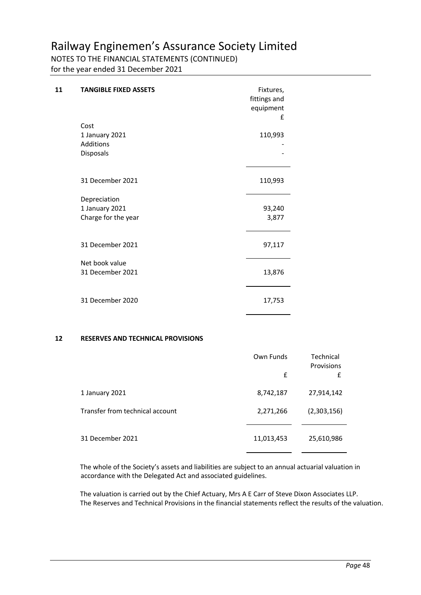### NOTES TO THE FINANCIAL STATEMENTS (CONTINUED)

for the year ended 31 December 2021

| 11 | <b>TANGIBLE FIXED ASSETS</b>                          | Fixtures,<br>fittings and<br>equipment<br>£ |
|----|-------------------------------------------------------|---------------------------------------------|
|    | Cost<br>1 January 2021<br>Additions<br>Disposals      | 110,993                                     |
|    | 31 December 2021                                      | 110,993                                     |
|    | Depreciation<br>1 January 2021<br>Charge for the year | 93,240<br>3,877                             |
|    | 31 December 2021                                      | 97,117                                      |
|    | Net book value<br>31 December 2021                    | 13,876                                      |
|    | 31 December 2020                                      | 17,753                                      |

#### **12 RESERVES AND TECHNICAL PROVISIONS**

|                                 | Own Funds<br>£ | Technical<br>Provisions<br>£ |
|---------------------------------|----------------|------------------------------|
| 1 January 2021                  | 8,742,187      | 27,914,142                   |
| Transfer from technical account | 2,271,266      | (2,303,156)                  |
| 31 December 2021                | 11,013,453     | 25,610,986                   |

The whole of the Society's assets and liabilities are subject to an annual actuarial valuation in accordance with the Delegated Act and associated guidelines.

The valuation is carried out by the Chief Actuary, Mrs A E Carr of Steve Dixon Associates LLP. The Reserves and Technical Provisions in the financial statements reflect the results of the valuation.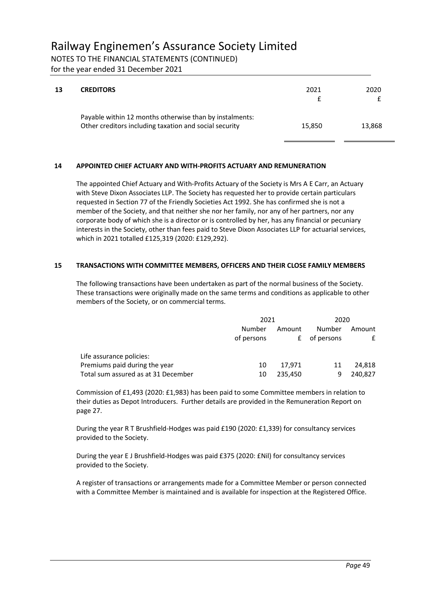NOTES TO THE FINANCIAL STATEMENTS (CONTINUED)

for the year ended 31 December 2021

| 13 | <b>CREDITORS</b>                                                                                                  | 2021   | 2020   |
|----|-------------------------------------------------------------------------------------------------------------------|--------|--------|
|    | Payable within 12 months otherwise than by instalments:<br>Other creditors including taxation and social security | 15,850 | 13,868 |

### **14 APPOINTED CHIEF ACTUARY AND WITH-PROFITS ACTUARY AND REMUNERATION**

The appointed Chief Actuary and With-Profits Actuary of the Society is Mrs A E Carr, an Actuary with Steve Dixon Associates LLP. The Society has requested her to provide certain particulars requested in Section 77 of the Friendly Societies Act 1992. She has confirmed she is not a member of the Society, and that neither she nor her family, nor any of her partners, nor any corporate body of which she is a director or is controlled by her, has any financial or pecuniary interests in the Society, other than fees paid to Steve Dixon Associates LLP for actuarial services, which in 2021 totalled £125,319 (2020: £129,292).

#### **15 TRANSACTIONS WITH COMMITTEE MEMBERS, OFFICERS AND THEIR CLOSE FAMILY MEMBERS**

The following transactions have been undertaken as part of the normal business of the Society. These transactions were originally made on the same terms and conditions as applicable to other members of the Society, or on commercial terms.

|                                     |                      | 2021        |                      | 2020        |  |
|-------------------------------------|----------------------|-------------|----------------------|-------------|--|
|                                     | Number<br>of persons | Amount<br>£ | Number<br>of persons | Amount<br>£ |  |
| Life assurance policies:            |                      |             |                      |             |  |
| Premiums paid during the year       | 10                   | 17.971      | 11                   | 24.818      |  |
| Total sum assured as at 31 December | 10                   | 235,450     | q                    | 240,827     |  |

Commission of £1,493 (2020: £1,983) has been paid to some Committee members in relation to their duties as Depot Introducers. Further details are provided in the Remuneration Report on page 27.

During the year R T Brushfield-Hodges was paid £190 (2020: £1,339) for consultancy services provided to the Society.

During the year E J Brushfield-Hodges was paid £375 (2020: £Nil) for consultancy services provided to the Society.

A register of transactions or arrangements made for a Committee Member or person connected with a Committee Member is maintained and is available for inspection at the Registered Office.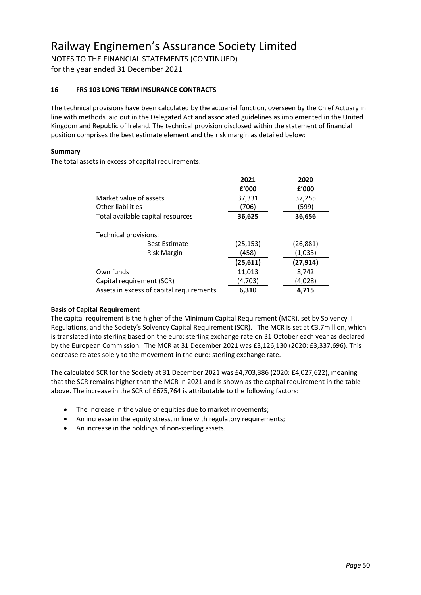for the year ended 31 December 2021

#### **16 FRS 103 LONG TERM INSURANCE CONTRACTS**

The technical provisions have been calculated by the actuarial function, overseen by the Chief Actuary in line with methods laid out in the Delegated Act and associated guidelines as implemented in the United Kingdom and Republic of Ireland*.* The technical provision disclosed within the statement of financial position comprises the best estimate element and the risk margin as detailed below:

#### **Summary**

The total assets in excess of capital requirements:

| f'000     | f'000    |
|-----------|----------|
| 37,331    | 37,255   |
| (706)     | (599)    |
| 36,625    | 36,656   |
|           |          |
|           |          |
| (25, 153) | (26,881) |
| (458)     | (1,033)  |
| (25, 611) | (27,914) |
| 11,013    | 8,742    |
| (4,703)   | (4,028)  |
| 6,310     | 4,715    |
|           |          |

#### **Basis of Capital Requirement**

The capital requirement is the higher of the Minimum Capital Requirement (MCR), set by Solvency II Regulations, and the Society's Solvency Capital Requirement (SCR). The MCR is set at €3.7million, which is translated into sterling based on the euro: sterling exchange rate on 31 October each year as declared by the European Commission. The MCR at 31 December 2021 was £3,126,130 (2020: £3,337,696). This decrease relates solely to the movement in the euro: sterling exchange rate.

The calculated SCR for the Society at 31 December 2021 was £4,703,386 (2020: £4,027,622), meaning that the SCR remains higher than the MCR in 2021 and is shown as the capital requirement in the table above. The increase in the SCR of £675,764 is attributable to the following factors:

- The increase in the value of equities due to market movements;
- An increase in the equity stress, in line with regulatory requirements;
- An increase in the holdings of non-sterling assets.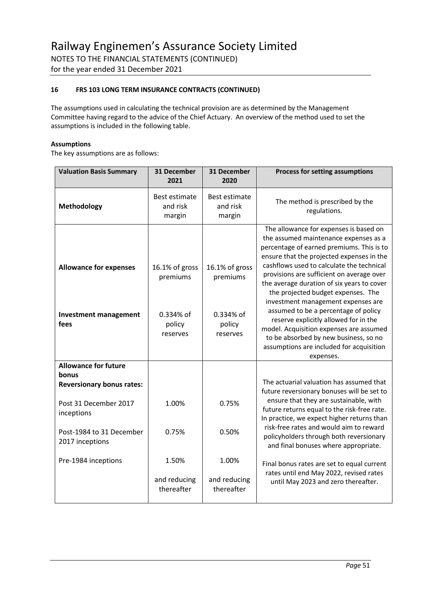for the year ended 31 December 2021

#### **16 FRS 103 LONG TERM INSURANCE CONTRACTS (CONTINUED)**

The assumptions used in calculating the technical provision are as determined by the Management Committee having regard to the advice of the Chief Actuary. An overview of the method used to set the assumptions is included in the following table.

#### **Assumptions**

The key assumptions are as follows:

| <b>Valuation Basis Summary</b>                                           | 31 December<br>2021                                           | 31 December<br>2020                                           | <b>Process for setting assumptions</b>                                                                                                                                                                                                                                                                                                                                                                                                                                                                                                                                                                                      |  |
|--------------------------------------------------------------------------|---------------------------------------------------------------|---------------------------------------------------------------|-----------------------------------------------------------------------------------------------------------------------------------------------------------------------------------------------------------------------------------------------------------------------------------------------------------------------------------------------------------------------------------------------------------------------------------------------------------------------------------------------------------------------------------------------------------------------------------------------------------------------------|--|
| Methodology                                                              | Best estimate<br>and risk<br>margin                           | <b>Best estimate</b><br>and risk<br>margin                    | The method is prescribed by the<br>regulations.                                                                                                                                                                                                                                                                                                                                                                                                                                                                                                                                                                             |  |
| <b>Allowance for expenses</b><br><b>Investment management</b><br>fees    | 16.1% of gross<br>premiums<br>0.334% of<br>policy<br>reserves | 16.1% of gross<br>premiums<br>0.334% of<br>policy<br>reserves | The allowance for expenses is based on<br>the assumed maintenance expenses as a<br>percentage of earned premiums. This is to<br>ensure that the projected expenses in the<br>cashflows used to calculate the technical<br>provisions are sufficient on average over<br>the average duration of six years to cover<br>the projected budget expenses. The<br>investment management expenses are<br>assumed to be a percentage of policy<br>reserve explicitly allowed for in the<br>model. Acquisition expenses are assumed<br>to be absorbed by new business, so no<br>assumptions are included for acquisition<br>expenses. |  |
| <b>Allowance for future</b><br>bonus<br><b>Reversionary bonus rates:</b> |                                                               |                                                               | The actuarial valuation has assumed that<br>future reversionary bonuses will be set to                                                                                                                                                                                                                                                                                                                                                                                                                                                                                                                                      |  |
| Post 31 December 2017<br>inceptions                                      | 1.00%                                                         | 0.75%                                                         | ensure that they are sustainable, with<br>future returns equal to the risk-free rate.<br>In practice, we expect higher returns than                                                                                                                                                                                                                                                                                                                                                                                                                                                                                         |  |
| Post-1984 to 31 December<br>2017 inceptions                              | 0.75%                                                         | 0.50%                                                         | risk-free rates and would aim to reward<br>policyholders through both reversionary<br>and final bonuses where appropriate.                                                                                                                                                                                                                                                                                                                                                                                                                                                                                                  |  |
| Pre-1984 inceptions                                                      | 1.50%                                                         | 1.00%                                                         | Final bonus rates are set to equal current<br>rates until end May 2022, revised rates<br>until May 2023 and zero thereafter.                                                                                                                                                                                                                                                                                                                                                                                                                                                                                                |  |
|                                                                          | and reducing<br>thereafter                                    | and reducing<br>thereafter                                    |                                                                                                                                                                                                                                                                                                                                                                                                                                                                                                                                                                                                                             |  |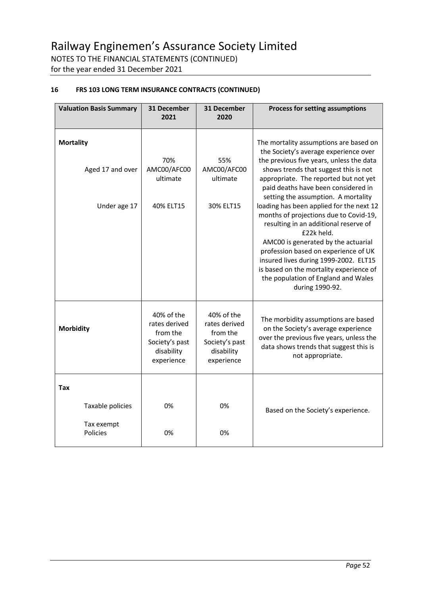for the year ended 31 December 2021

### **16 FRS 103 LONG TERM INSURANCE CONTRACTS (CONTINUED)**

| <b>Valuation Basis Summary</b>                       | 31 December<br>2021                                                                   | 31 December<br>2020                                                                   | Process for setting assumptions                                                                                                                                                                                                                                                                                                                                                                                                                                                                                                                                                                                                                                       |
|------------------------------------------------------|---------------------------------------------------------------------------------------|---------------------------------------------------------------------------------------|-----------------------------------------------------------------------------------------------------------------------------------------------------------------------------------------------------------------------------------------------------------------------------------------------------------------------------------------------------------------------------------------------------------------------------------------------------------------------------------------------------------------------------------------------------------------------------------------------------------------------------------------------------------------------|
| <b>Mortality</b><br>Aged 17 and over<br>Under age 17 | 70%<br>AMC00/AFC00<br>ultimate<br>40% ELT15                                           | 55%<br>AMC00/AFC00<br>ultimate<br>30% ELT15                                           | The mortality assumptions are based on<br>the Society's average experience over<br>the previous five years, unless the data<br>shows trends that suggest this is not<br>appropriate. The reported but not yet<br>paid deaths have been considered in<br>setting the assumption. A mortality<br>loading has been applied for the next 12<br>months of projections due to Covid-19,<br>resulting in an additional reserve of<br>£22k held.<br>AMC00 is generated by the actuarial<br>profession based on experience of UK<br>insured lives during 1999-2002. ELT15<br>is based on the mortality experience of<br>the population of England and Wales<br>during 1990-92. |
| <b>Morbidity</b>                                     | 40% of the<br>rates derived<br>from the<br>Society's past<br>disability<br>experience | 40% of the<br>rates derived<br>from the<br>Society's past<br>disability<br>experience | The morbidity assumptions are based<br>on the Society's average experience<br>over the previous five years, unless the<br>data shows trends that suggest this is<br>not appropriate.                                                                                                                                                                                                                                                                                                                                                                                                                                                                                  |
| Tax<br>Taxable policies<br>Tax exempt<br>Policies    | 0%<br>0%                                                                              | 0%<br>0%                                                                              | Based on the Society's experience.                                                                                                                                                                                                                                                                                                                                                                                                                                                                                                                                                                                                                                    |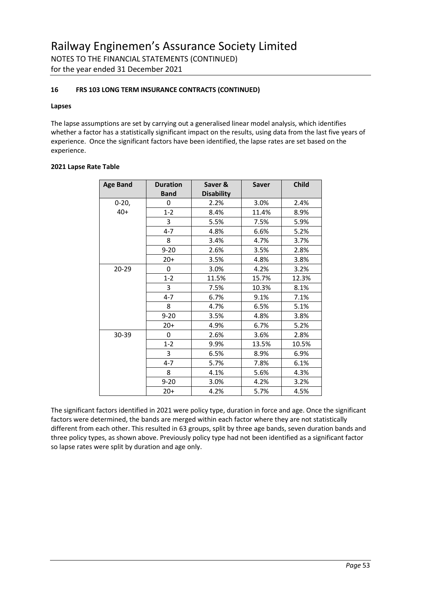#### **16 FRS 103 LONG TERM INSURANCE CONTRACTS (CONTINUED)**

#### **Lapses**

The lapse assumptions are set by carrying out a generalised linear model analysis, which identifies whether a factor has a statistically significant impact on the results, using data from the last five years of experience. Once the significant factors have been identified, the lapse rates are set based on the experience.

#### **2021 Lapse Rate Table**

| <b>Age Band</b> | <b>Duration</b> | Saver &           | <b>Saver</b> | <b>Child</b> |
|-----------------|-----------------|-------------------|--------------|--------------|
|                 | <b>Band</b>     | <b>Disability</b> |              |              |
| $0-20,$         | 0               | 2.2%              | 3.0%         | 2.4%         |
| $40+$           | $1 - 2$         | 8.4%              | 11.4%        | 8.9%         |
|                 | 3               | 5.5%              | 7.5%         | 5.9%         |
|                 | $4 - 7$         | 4.8%              | 6.6%         | 5.2%         |
|                 | 8               | 3.4%              | 4.7%         | 3.7%         |
|                 | $9 - 20$        | 2.6%              | 3.5%         | 2.8%         |
|                 | $20+$           | 3.5%              | 4.8%         | 3.8%         |
| 20-29           | 0               | 3.0%              | 4.2%         | 3.2%         |
|                 | $1 - 2$         | 11.5%             | 15.7%        | 12.3%        |
|                 | 3               | 7.5%              | 10.3%        | 8.1%         |
|                 | $4 - 7$         | 6.7%              | 9.1%         | 7.1%         |
|                 | 8               | 4.7%              | 6.5%         | 5.1%         |
|                 | $9 - 20$        | 3.5%              | 4.8%         | 3.8%         |
|                 | $20+$           | 4.9%              | 6.7%         | 5.2%         |
| 30-39           | 0               | 2.6%              | 3.6%         | 2.8%         |
|                 | $1 - 2$         | 9.9%              | 13.5%        | 10.5%        |
|                 | 3               | 6.5%              | 8.9%         | 6.9%         |
|                 | $4 - 7$         | 5.7%              | 7.8%         | 6.1%         |
|                 | 8               | 4.1%              | 5.6%         | 4.3%         |
|                 | $9 - 20$        | 3.0%              | 4.2%         | 3.2%         |
|                 | $20+$           | 4.2%              | 5.7%         | 4.5%         |

The significant factors identified in 2021 were policy type, duration in force and age. Once the significant factors were determined, the bands are merged within each factor where they are not statistically different from each other. This resulted in 63 groups, split by three age bands, seven duration bands and three policy types, as shown above. Previously policy type had not been identified as a significant factor so lapse rates were split by duration and age only.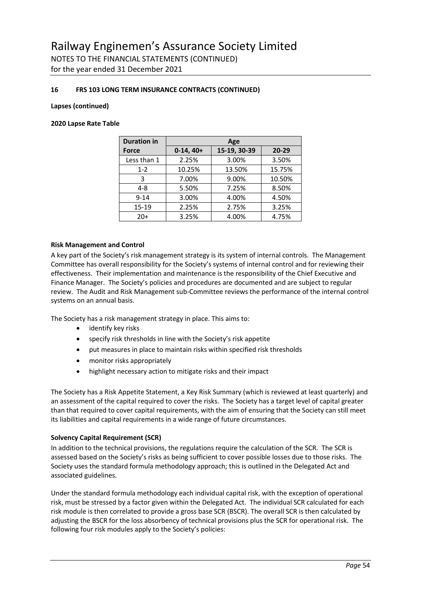for the year ended 31 December 2021

#### **16 FRS 103 LONG TERM INSURANCE CONTRACTS (CONTINUED)**

#### **Lapses (continued)**

#### **2020 Lapse Rate Table**

| <b>Duration in</b> | Age         |              |           |
|--------------------|-------------|--------------|-----------|
| <b>Force</b>       | $0-14, 40+$ | 15-19, 30-39 | $20 - 29$ |
| Less than 1        | 2.25%       | 3.00%        | 3.50%     |
| $1 - 2$            | 10.25%      | 13.50%       | 15.75%    |
| 3                  | 7.00%       | 9.00%        | 10.50%    |
| $4 - 8$            | 5.50%       | 7.25%        | 8.50%     |
| $9 - 14$           | 3.00%       | 4.00%        | 4.50%     |
| $15 - 19$          | 2.25%       | 2.75%        | 3.25%     |
| $20+$              | 3.25%       | 4.00%        | 4.75%     |

#### **Risk Management and Control**

A key part of the Society's risk management strategy is its system of internal controls. The Management Committee has overall responsibility for the Society's systems of internal control and for reviewing their effectiveness. Their implementation and maintenance is the responsibility of the Chief Executive and Finance Manager. The Society's policies and procedures are documented and are subject to regular review. The Audit and Risk Management sub-Committee reviews the performance of the internal control systems on an annual basis.

The Society has a risk management strategy in place. This aims to:

- identify key risks
- specify risk thresholds in line with the Society's risk appetite
- put measures in place to maintain risks within specified risk thresholds
- monitor risks appropriately
- highlight necessary action to mitigate risks and their impact

The Society has a Risk Appetite Statement, a Key Risk Summary (which is reviewed at least quarterly) and an assessment of the capital required to cover the risks. The Society has a target level of capital greater than that required to cover capital requirements, with the aim of ensuring that the Society can still meet its liabilities and capital requirements in a wide range of future circumstances.

#### **Solvency Capital Requirement (SCR)**

In addition to the technical provisions, the regulations require the calculation of the SCR. The SCR is assessed based on the Society's risks as being sufficient to cover possible losses due to those risks. The Society uses the standard formula methodology approach; this is outlined in the Delegated Act and associated guidelines.

Under the standard formula methodology each individual capital risk, with the exception of operational risk, must be stressed by a factor given within the Delegated Act. The individual SCR calculated for each risk module is then correlated to provide a gross base SCR (BSCR). The overall SCR is then calculated by adjusting the BSCR for the loss absorbency of technical provisions plus the SCR for operational risk. The following four risk modules apply to the Society's policies: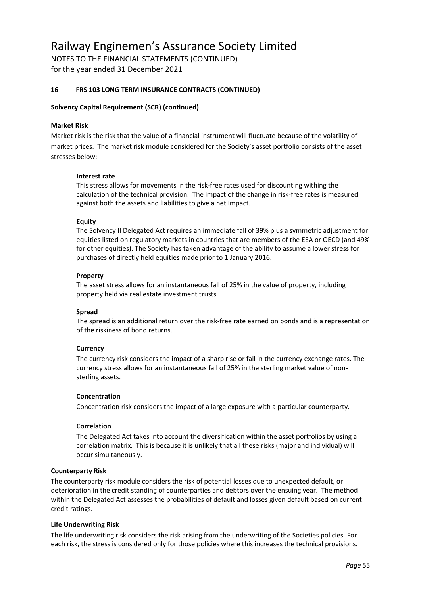for the year ended 31 December 2021

#### **16 FRS 103 LONG TERM INSURANCE CONTRACTS (CONTINUED)**

#### **Solvency Capital Requirement (SCR) (continued)**

#### **Market Risk**

Market risk is the risk that the value of a financial instrument will fluctuate because of the volatility of market prices. The market risk module considered for the Society's asset portfolio consists of the asset stresses below:

#### **Interest rate**

This stress allows for movements in the risk-free rates used for discounting withing the calculation of the technical provision. The impact of the change in risk-free rates is measured against both the assets and liabilities to give a net impact.

#### **Equity**

The Solvency II Delegated Act requires an immediate fall of 39% plus a symmetric adjustment for equities listed on regulatory markets in countries that are members of the EEA or OECD (and 49% for other equities). The Society has taken advantage of the ability to assume a lower stress for purchases of directly held equities made prior to 1 January 2016.

#### **Property**

The asset stress allows for an instantaneous fall of 25% in the value of property, including property held via real estate investment trusts.

#### **Spread**

The spread is an additional return over the risk-free rate earned on bonds and is a representation of the riskiness of bond returns.

#### **Currency**

The currency risk considers the impact of a sharp rise or fall in the currency exchange rates. The currency stress allows for an instantaneous fall of 25% in the sterling market value of nonsterling assets.

#### **Concentration**

Concentration risk considers the impact of a large exposure with a particular counterparty.

#### **Correlation**

The Delegated Act takes into account the diversification within the asset portfolios by using a correlation matrix. This is because it is unlikely that all these risks (major and individual) will occur simultaneously.

#### **Counterparty Risk**

The counterparty risk module considers the risk of potential losses due to unexpected default, or deterioration in the credit standing of counterparties and debtors over the ensuing year. The method within the Delegated Act assesses the probabilities of default and losses given default based on current credit ratings.

#### **Life Underwriting Risk**

The life underwriting risk considers the risk arising from the underwriting of the Societies policies. For each risk, the stress is considered only for those policies where this increases the technical provisions.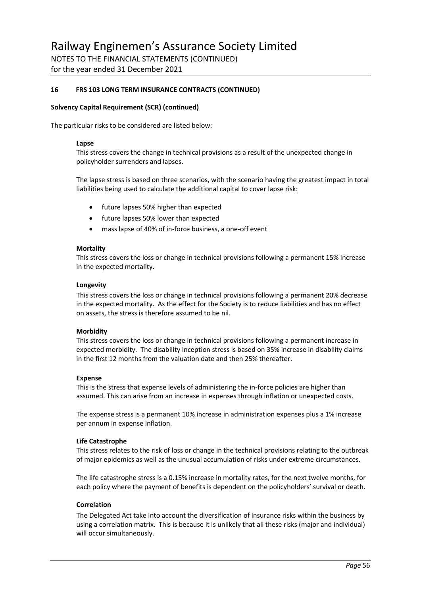for the year ended 31 December 2021

#### **16 FRS 103 LONG TERM INSURANCE CONTRACTS (CONTINUED)**

#### **Solvency Capital Requirement (SCR) (continued)**

The particular risks to be considered are listed below:

#### **Lapse**

This stress covers the change in technical provisions as a result of the unexpected change in policyholder surrenders and lapses.

The lapse stress is based on three scenarios, with the scenario having the greatest impact in total liabilities being used to calculate the additional capital to cover lapse risk:

- future lapses 50% higher than expected
- future lapses 50% lower than expected
- mass lapse of 40% of in-force business, a one-off event

#### **Mortality**

This stress covers the loss or change in technical provisions following a permanent 15% increase in the expected mortality.

#### **Longevity**

This stress covers the loss or change in technical provisions following a permanent 20% decrease in the expected mortality. As the effect for the Society is to reduce liabilities and has no effect on assets, the stress is therefore assumed to be nil.

#### **Morbidity**

This stress covers the loss or change in technical provisions following a permanent increase in expected morbidity. The disability inception stress is based on 35% increase in disability claims in the first 12 months from the valuation date and then 25% thereafter.

#### **Expense**

This is the stress that expense levels of administering the in-force policies are higher than assumed. This can arise from an increase in expenses through inflation or unexpected costs.

The expense stress is a permanent 10% increase in administration expenses plus a 1% increase per annum in expense inflation.

#### **Life Catastrophe**

This stress relates to the risk of loss or change in the technical provisions relating to the outbreak of major epidemics as well as the unusual accumulation of risks under extreme circumstances.

The life catastrophe stress is a 0.15% increase in mortality rates, for the next twelve months, for each policy where the payment of benefits is dependent on the policyholders' survival or death.

#### **Correlation**

The Delegated Act take into account the diversification of insurance risks within the business by using a correlation matrix. This is because it is unlikely that all these risks (major and individual) will occur simultaneously.